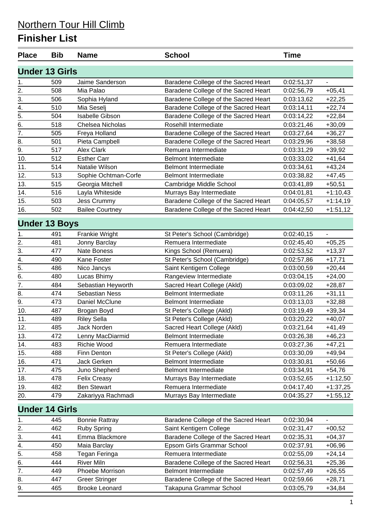### **Finisher List**

| <b>Place</b>     | <b>Bib</b>            | <b>Name</b>            | <b>School</b>                        | <b>Time</b> |                |
|------------------|-----------------------|------------------------|--------------------------------------|-------------|----------------|
|                  | <b>Under 13 Girls</b> |                        |                                      |             |                |
| 1.               | 509                   | Jaime Sanderson        | Baradene College of the Sacred Heart | 0:02:51,37  | $\blacksquare$ |
| 2.               | 508                   | Mia Palao              | Baradene College of the Sacred Heart | 0:02:56,79  | $+05,41$       |
| 3.               | 506                   | Sophia Hyland          | Baradene College of the Sacred Heart | 0:03:13,62  | $+22,25$       |
| 4.               | 510                   | Mia Seselj             | Baradene College of the Sacred Heart | 0:03:14,11  | $+22,74$       |
| $\overline{5}$ . | 504                   | <b>Isabelle Gibson</b> | Baradene College of the Sacred Heart | 0:03:14,22  | $+22,84$       |
| $\overline{6}$ . | 518                   | Chelsea Nicholas       | Rosehill Intermediate                | 0:03:21,46  | $+30,09$       |
| 7.               | 505                   | Freya Holland          | Baradene College of the Sacred Heart | 0:03:27,64  | $+36,27$       |
| 8.               | 501                   | Pieta Campbell         | Baradene College of the Sacred Heart | 0:03:29,96  | $+38,58$       |
| 9.               | 517                   | <b>Alex Clark</b>      | Remuera Intermediate                 | 0:03:31,29  | $+39,92$       |
| 10.              | 512                   | <b>Esther Carr</b>     | <b>Belmont Intermediate</b>          | 0:03:33,02  | $+41,64$       |
| 11.              | 514                   | Natalie Wilson         | <b>Belmont Intermediate</b>          | 0:03:34,61  | $+43,24$       |
| 12.              | 513                   | Sophie Ochtman-Corfe   | <b>Belmont Intermediate</b>          | 0:03:38,82  | $+47,45$       |
| 13.              | 515                   | Georgia Mitchell       | Cambridge Middle School              | 0:03:41,89  | $+50,51$       |
| 14.              | 516                   | Layla Whiteside        | Murrays Bay Intermediate             | 0:04:01,81  | $+1:10,43$     |
| 15.              | 503                   | Jess Crummy            | Baradene College of the Sacred Heart | 0:04:05,57  | $+1:14,19$     |
| 16.              | 502                   | <b>Bailee Courtney</b> | Baradene College of the Sacred Heart | 0:04:42,50  | $+1:51,12$     |
|                  | <b>Under 13 Boys</b>  |                        |                                      |             |                |
| 1.               | 491                   | Frankie Wright         | St Peter's School (Cambridge)        | 0:02:40,15  |                |
| 2.               | 481                   | Jonny Barclay          | Remuera Intermediate                 | 0:02:45,40  | $+05,25$       |
| $\overline{3}$ . | 477                   | Nate Boness            | Kings School (Remuera)               | 0:02:53,52  | $+13,37$       |
| 4.               | 490                   | Kane Foster            | St Peter's School (Cambridge)        | 0:02:57,86  | $+17,71$       |
| 5.               | 486                   | Nico Jancys            | Saint Kentigern College              | 0:03:00,59  | $+20,44$       |
| 6.               | 480                   | Lucas Bhimy            | Rangeview Intermediate               | 0:03:04,15  | $+24,00$       |
| 7.               | 484                   | Sebastian Heyworth     | Sacred Heart College (Akld)          | 0:03:09,02  | $+28,87$       |
| 8.               | 474                   | <b>Sebastian Ness</b>  | <b>Belmont Intermediate</b>          | 0:03:11,26  | $+31,11$       |
| 9.               | 473                   | Daniel McClune         | <b>Belmont Intermediate</b>          | 0:03:13,03  | $+32,88$       |
| 10.              | 487                   | Brogan Boyd            | St Peter's College (Akld)            | 0:03:19,49  | $+39,34$       |
| 11.              | 489                   | <b>Riley Sella</b>     | St Peter's College (Akld)            | 0:03:20,22  | $+40,07$       |
| 12.              | 485                   | Jack Norden            | Sacred Heart College (Akld)          | 0:03:21,64  | $+41,49$       |
| 13.              | 472                   | Lenny MacDiarmid       | <b>Belmont Intermediate</b>          | 0:03:26,38  | $+46,23$       |
| 14.              | 483                   | Richie Wood            | Remuera Intermediate                 | 0:03:27,36  | $+47,21$       |
| 15.              | 488                   | Finn Denton            | St Peter's College (Akld)            | 0:03:30,09  | $+49,94$       |
| 16.              | 471                   | Jack Gerken            | <b>Belmont Intermediate</b>          | 0:03:30,81  | $+50,66$       |
| 17.              | 475                   | Juno Shepherd          | <b>Belmont Intermediate</b>          | 0:03:34,91  | $+54,76$       |
| 18.              | 478                   | <b>Felix Creasy</b>    | Murrays Bay Intermediate             | 0:03:52,65  | $+1:12,50$     |
| 19.              | 482                   | <b>Ben Stewart</b>     | Remuera Intermediate                 | 0:04:17,40  | $+1:37,25$     |
| 20.              | 479                   | Zakariyya Rachmadi     | Murrays Bay Intermediate             | 0:04:35,27  | $+1:55,12$     |
|                  | <b>Under 14 Girls</b> |                        |                                      |             |                |
| 1.               | 445                   | <b>Bonnie Rattray</b>  | Baradene College of the Sacred Heart | 0:02:30,94  |                |
| 2.               | 462                   | <b>Ruby Spring</b>     | Saint Kentigern College              | 0:02:31,47  | $+00,52$       |
| 3.               | 441                   | Emma Blackmore         | Baradene College of the Sacred Heart | 0:02:35,31  | $+04,37$       |
| 4.               | 450                   | Maia Barclay           | Epsom Girls Grammar School           | 0:02:37,91  | $+06,96$       |
| 5.               | 458                   | Tegan Feringa          | Remuera Intermediate                 | 0:02:55,09  | $+24,14$       |
| 6.               | 444                   | <b>River Miln</b>      | Baradene College of the Sacred Heart | 0:02:56,31  | $+25,36$       |
| 7.               | 449                   | Phoebe Morrison        | <b>Belmont Intermediate</b>          | 0:02:57,49  | $+26,55$       |
| 8.               | 447                   | <b>Greer Stringer</b>  | Baradene College of the Sacred Heart | 0:02:59,66  | $+28,71$       |
| 9.               | 465                   | <b>Brooke Leonard</b>  | Takapuna Grammar School              | 0:03:05,79  | $+34,84$       |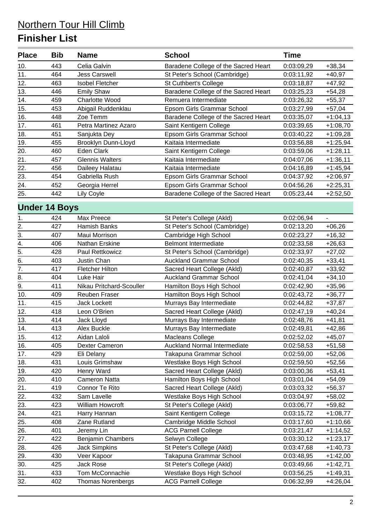### **Finisher List**

| <b>Place</b>         | <b>Bib</b> | <b>Name</b>              | <b>School</b>                                        | <b>Time</b>              |                      |
|----------------------|------------|--------------------------|------------------------------------------------------|--------------------------|----------------------|
| 10.                  | 443        | Celia Galvin             | Baradene College of the Sacred Heart                 | 0:03:09,29               | $+38,34$             |
| 11.                  | 464        | <b>Jess Carswell</b>     | St Peter's School (Cambridge)                        | 0:03:11,92               | $+40,97$             |
| 12.                  | 463        | <b>Isobel Fletcher</b>   | St Cuthbert's College                                | 0:03:18,87               | $+47,92$             |
| 13.                  | 446        | <b>Emily Shaw</b>        | Baradene College of the Sacred Heart                 | 0:03:25,23               | $+54,28$             |
| 14.                  | 459        | Charlotte Wood           | Remuera Intermediate                                 | 0:03:26,32               | $+55,37$             |
| 15.                  | 453        | Abigail Ruddenklau       | Epsom Girls Grammar School                           | 0:03:27,99               | $+57,04$             |
| 16.                  | 448        | Zoe Temm                 | Baradene College of the Sacred Heart                 | 0:03:35,07               | $+1:04,13$           |
| 17.                  | 461        | Petra Martinez Azaro     | Saint Kentigern College                              | 0:03:39,65               | $+1:08,70$           |
| 18.                  | 451        | Sanjukta Dey             | Epsom Girls Grammar School                           | 0:03:40,22               | +1:09,28             |
| 19.                  | 455        | Brooklyn Dunn-Lloyd      | Kaitaia Intermediate                                 | 0:03:56,88               | $+1:25,94$           |
| 20.                  | 460        | Eden Clark               | Saint Kentigern College                              | 0:03:59,06               | $+1:28,11$           |
| 21.                  | 457        | <b>Glennis Walters</b>   | Kaitaia Intermediate                                 | 0:04:07,06               | $+1:36,11$           |
| 22.                  | 456        | Daileey Halatau          | Kaitaia Intermediate                                 | 0:04:16,89               | $+1:45,94$           |
| 23.                  | 454        | Gabriella Rush           | Epsom Girls Grammar School                           | 0:04:37,92               | $+2:06,97$           |
| 24.                  | 452        | Georgia Herrel           | Epsom Girls Grammar School                           | 0:04:56,26               | $+2:25,31$           |
| 25.                  | 442        | Lily Coyle               | Baradene College of the Sacred Heart                 | 0:05:23,44               | $+2:52,50$           |
| <b>Under 14 Boys</b> |            |                          |                                                      |                          |                      |
|                      | 424        | Max Preece               | St Peter's College (Akld)                            | 0:02:06,94               | $\overline{a}$       |
| 1.                   | 427        | Hamish Banks             | St Peter's School (Cambridge)                        |                          |                      |
| 2.                   | 407        | Maui Morrison            |                                                      | 0:02:13,20               | $+06,26$             |
| $\frac{3}{2}$<br>4.  | 406        | Nathan Erskine           | Cambridge High School<br><b>Belmont Intermediate</b> | 0:02:23,27<br>0:02:33,58 | $+16,32$<br>$+26,63$ |
| $\overline{5}$ .     | 428        | Paul Rettkowicz          | St Peter's School (Cambridge)                        | 0:02:33,97               | $+27,02$             |
| $\overline{6}$       | 403        | Justin Chan              | <b>Auckland Grammar School</b>                       |                          | $+33,41$             |
| $\overline{7}$ .     | 417        | <b>Fletcher Hilton</b>   | Sacred Heart College (Akld)                          | 0:02:40,35<br>0:02:40,87 | $+33,92$             |
| 8.                   | 404        | Luke Hair                | <b>Auckland Grammar School</b>                       | 0:02:41,04               | $+34,10$             |
| 9.                   | 411        | Nikau Pritchard-Scouller | Hamilton Boys High School                            | 0:02:42,90               | $+35,96$             |
| 10.                  | 409        | <b>Reuben Fraser</b>     | Hamilton Boys High School                            | 0:02:43,72               | $+36,77$             |
| 11.                  | 415        | <b>Jack Lockett</b>      | Murrays Bay Intermediate                             | 0:02:44,82               | $+37,87$             |
| 12.                  | 418        | Leon O'Brien             | Sacred Heart College (Akld)                          | 0:02:47,19               | $+40,24$             |
| 13.                  | 414        | Jack Lloyd               | Murrays Bay Intermediate                             | 0:02:48,76               | $+41,81$             |
| 14.                  | 413        | Alex Buckle              | Murrays Bay Intermediate                             | 0:02:49,81               | $+42,86$             |
| 15.                  | 412        | Aidan Laloli             | Macleans College                                     | 0:02:52,02               | $+45,07$             |
| 16.                  | 405        | Dexter Cameron           | Auckland Normal Intermediate                         | 0:02:58,53               | $+51,58$             |
| 17.                  | 429        | Eli Delany               | Takapuna Grammar School                              | 0:02:59,00               | $+52,06$             |
| 18.                  | 431        | Louis Grimshaw           | Westlake Boys High School                            | 0:02:59,50               | $+52,56$             |
| 19.                  | 420        | Henry Ward               | Sacred Heart College (Akld)                          | 0:03:00,36               | $+53,41$             |
| 20.                  | 410        | <b>Cameron Natta</b>     | Hamilton Boys High School                            | 0:03:01,04               | $+54,09$             |
| 21.                  | 419        | Connor Te Rito           | Sacred Heart College (Akld)                          | 0:03:03,32               | +56,37               |
| 22.                  | 432        | Sam Lavelle              | Westlake Boys High School                            | 0:03:04,97               | $+58,02$             |
| 23.                  | 423        | William Howcroft         | St Peter's College (Akld)                            | 0:03:06,77               | $+59,82$             |
| 24.                  | 421        | Harry Hannan             | Saint Kentigern College                              | 0:03:15,72               | $+1:08,77$           |
| 25.                  | 408        | Zane Rutland             | Cambridge Middle School                              | 0:03:17,60               | $+1:10,66$           |
| 26.                  | 401        | Jeremy Lin               | <b>ACG Parnell College</b>                           | 0:03:21,47               | $+1:14,52$           |
| 27.                  | 422        | <b>Benjamin Chambers</b> | Selwyn College                                       | 0:03:30,12               | $+1:23,17$           |
| 28.                  | 426        | <b>Jack Simpkins</b>     | St Peter's College (Akld)                            | 0:03:47,68               | +1:40,73             |
| 29.                  | 430        | Veer Kapoor              | Takapuna Grammar School                              | 0:03:48,95               | $+1:42,00$           |
| 30.                  | 425        | Jack Rose                | St Peter's College (Akld)                            | 0:03:49,66               | +1:42,71             |
| 31.                  | 433        | Tom McConnachie          | Westlake Boys High School                            | 0:03:56,25               | +1:49,31             |
| 32.                  | 402        | <b>Thomas Norenbergs</b> | <b>ACG Parnell College</b>                           | 0:06:32,99               | $+4:26,04$           |
|                      |            |                          |                                                      |                          |                      |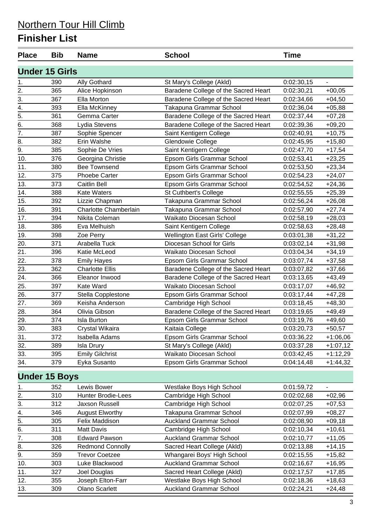### **Finisher List**

| <b>Under 15 Girls</b><br>390<br>St Mary's College (Akld)<br>0:02:30,15<br><b>Ally Gothard</b><br>1.<br>2.<br>Baradene College of the Sacred Heart<br>365<br>Alice Hopkinson<br>0:02:30,21<br>3.<br>367<br>Baradene College of the Sacred Heart<br>Ella Morton<br>0:02:34,66<br>4.<br>393<br>Takapuna Grammar School<br>Ella McKinney<br>0:02:36,04<br>5.<br>361<br>Gemma Carter<br>Baradene College of the Sacred Heart<br>0:02:37,44<br>Baradene College of the Sacred Heart<br>6.<br>368<br>Lydia Stevens<br>0:02:39,36<br>7.<br>Saint Kentigern College<br>387<br>Sophie Spencer<br>0:02:40,91<br>8.<br>382<br>Erin Walshe<br>Glendowie College<br>0:02:45,95<br>9.<br>385<br>Sophie De Vries<br>Saint Kentigern College<br>0:02:47,70<br>376<br>Epsom Girls Grammar School<br>10.<br>Georgina Christie<br>0:02:53,41<br><b>Bee Townsend</b><br>380<br>Epsom Girls Grammar School<br>11.<br>0:02:53,50<br>12.<br>375<br>Phoebe Carter<br>Epsom Girls Grammar School<br>0:02:54,23<br>13.<br>373<br><b>Caitlin Bell</b><br>Epsom Girls Grammar School<br>0:02:54,52<br>14.<br>St Cuthbert's College<br>388<br><b>Kate Waters</b><br>0:02:55,55<br>15.<br>392<br>Lizzie Chapman<br>Takapuna Grammar School<br>0:02:56,24<br>Charlotte Chamberlain<br>16.<br>391<br>Takapuna Grammar School<br>0:02:57,90<br>17.<br>394<br>Nikita Coleman<br>Waikato Diocesan School<br>0:02:58,19<br>18.<br>386<br>Eva Melhuish<br>Saint Kentigern College<br>0:02:58,63<br>Wellington East Girls' College<br>19.<br>398<br>Zoe Perry<br>0:03:01,38<br>20.<br>371<br>Arabella Tuck<br>Diocesan School for Girls<br>0:03:02,14<br>21.<br>396<br>Waikato Diocesan School<br>Katie McLeod<br>0:03:04,34<br>22.<br>378<br>Epsom Girls Grammar School<br><b>Emily Hayes</b><br>0:03:07,74<br>23.<br>362<br><b>Charlotte Ellis</b><br>Baradene College of the Sacred Heart<br>0:03:07,82<br>24.<br>366<br>Eleanor Inwood<br>Baradene College of the Sacred Heart<br>0:03:13,65<br>25.<br>397<br>Kate Ward<br>Waikato Diocesan School<br>0:03:17,07<br>26.<br>Epsom Girls Grammar School<br>377<br>Stella Copplestone<br>0:03:17,44<br>27.<br>369<br>Keisha Anderson<br>Cambridge High School<br>0:03:18,45<br>28.<br>364<br>Olivia Gibson<br>Baradene College of the Sacred Heart<br>0:03:19,65<br>29.<br>374<br>Epsom Girls Grammar School<br><b>Isla Burton</b><br>0:03:19,76<br>30.<br>383<br>Kaitaia College<br>Crystal Wikaira<br>0:03:20,73<br>372<br>Epsom Girls Grammar School<br>0:03:36,22<br>31.<br>Isabella Adams<br>32.<br>389<br>St Mary's College (Akld)<br>0:03:37,28<br><b>Isla Drury</b><br>Waikato Diocesan School<br>33.<br>395<br><b>Emily Gilchrist</b><br>0:03:42,45<br>379<br>Eyka Susanto<br>Epsom Girls Grammar School<br>0:04:14,48<br>34.<br><b>Under 15 Boys</b><br>Westlake Boys High School<br>352<br>Lewis Bower<br>0:01:59,72<br>1.<br>2.<br>310<br>Cambridge High School<br>Hunter Brodie-Lees<br>0:02:02,68<br>3.<br>312<br>Jaxson Russell<br>Cambridge High School<br>0:02:07,25<br><b>August Elworthy</b><br>Takapuna Grammar School<br>346<br>0:02:07,99<br>4.<br>5.<br>305<br>Felix Maddison<br><b>Auckland Grammar School</b><br>0:02:08,90<br>6.<br>311<br>Matt Davis<br>Cambridge High School<br>0:02:10,34 | <b>Time</b> |
|----------------------------------------------------------------------------------------------------------------------------------------------------------------------------------------------------------------------------------------------------------------------------------------------------------------------------------------------------------------------------------------------------------------------------------------------------------------------------------------------------------------------------------------------------------------------------------------------------------------------------------------------------------------------------------------------------------------------------------------------------------------------------------------------------------------------------------------------------------------------------------------------------------------------------------------------------------------------------------------------------------------------------------------------------------------------------------------------------------------------------------------------------------------------------------------------------------------------------------------------------------------------------------------------------------------------------------------------------------------------------------------------------------------------------------------------------------------------------------------------------------------------------------------------------------------------------------------------------------------------------------------------------------------------------------------------------------------------------------------------------------------------------------------------------------------------------------------------------------------------------------------------------------------------------------------------------------------------------------------------------------------------------------------------------------------------------------------------------------------------------------------------------------------------------------------------------------------------------------------------------------------------------------------------------------------------------------------------------------------------------------------------------------------------------------------------------------------------------------------------------------------------------------------------------------------------------------------------------------------------------------------------------------------------------------------------------------------------------------------------------------------------------------------------------------------------------------------------------------------------------------------------------------------------------------------------------------------------------------------------------------------------------------------------------------------------------------------------------------------------------------------------------------------------------------------------------------------------------------|-------------|
|                                                                                                                                                                                                                                                                                                                                                                                                                                                                                                                                                                                                                                                                                                                                                                                                                                                                                                                                                                                                                                                                                                                                                                                                                                                                                                                                                                                                                                                                                                                                                                                                                                                                                                                                                                                                                                                                                                                                                                                                                                                                                                                                                                                                                                                                                                                                                                                                                                                                                                                                                                                                                                                                                                                                                                                                                                                                                                                                                                                                                                                                                                                                                                                                                                  |             |
|                                                                                                                                                                                                                                                                                                                                                                                                                                                                                                                                                                                                                                                                                                                                                                                                                                                                                                                                                                                                                                                                                                                                                                                                                                                                                                                                                                                                                                                                                                                                                                                                                                                                                                                                                                                                                                                                                                                                                                                                                                                                                                                                                                                                                                                                                                                                                                                                                                                                                                                                                                                                                                                                                                                                                                                                                                                                                                                                                                                                                                                                                                                                                                                                                                  |             |
|                                                                                                                                                                                                                                                                                                                                                                                                                                                                                                                                                                                                                                                                                                                                                                                                                                                                                                                                                                                                                                                                                                                                                                                                                                                                                                                                                                                                                                                                                                                                                                                                                                                                                                                                                                                                                                                                                                                                                                                                                                                                                                                                                                                                                                                                                                                                                                                                                                                                                                                                                                                                                                                                                                                                                                                                                                                                                                                                                                                                                                                                                                                                                                                                                                  | $+00,05$    |
|                                                                                                                                                                                                                                                                                                                                                                                                                                                                                                                                                                                                                                                                                                                                                                                                                                                                                                                                                                                                                                                                                                                                                                                                                                                                                                                                                                                                                                                                                                                                                                                                                                                                                                                                                                                                                                                                                                                                                                                                                                                                                                                                                                                                                                                                                                                                                                                                                                                                                                                                                                                                                                                                                                                                                                                                                                                                                                                                                                                                                                                                                                                                                                                                                                  | $+04,50$    |
|                                                                                                                                                                                                                                                                                                                                                                                                                                                                                                                                                                                                                                                                                                                                                                                                                                                                                                                                                                                                                                                                                                                                                                                                                                                                                                                                                                                                                                                                                                                                                                                                                                                                                                                                                                                                                                                                                                                                                                                                                                                                                                                                                                                                                                                                                                                                                                                                                                                                                                                                                                                                                                                                                                                                                                                                                                                                                                                                                                                                                                                                                                                                                                                                                                  | $+05,88$    |
|                                                                                                                                                                                                                                                                                                                                                                                                                                                                                                                                                                                                                                                                                                                                                                                                                                                                                                                                                                                                                                                                                                                                                                                                                                                                                                                                                                                                                                                                                                                                                                                                                                                                                                                                                                                                                                                                                                                                                                                                                                                                                                                                                                                                                                                                                                                                                                                                                                                                                                                                                                                                                                                                                                                                                                                                                                                                                                                                                                                                                                                                                                                                                                                                                                  | $+07,28$    |
|                                                                                                                                                                                                                                                                                                                                                                                                                                                                                                                                                                                                                                                                                                                                                                                                                                                                                                                                                                                                                                                                                                                                                                                                                                                                                                                                                                                                                                                                                                                                                                                                                                                                                                                                                                                                                                                                                                                                                                                                                                                                                                                                                                                                                                                                                                                                                                                                                                                                                                                                                                                                                                                                                                                                                                                                                                                                                                                                                                                                                                                                                                                                                                                                                                  | $+09,20$    |
|                                                                                                                                                                                                                                                                                                                                                                                                                                                                                                                                                                                                                                                                                                                                                                                                                                                                                                                                                                                                                                                                                                                                                                                                                                                                                                                                                                                                                                                                                                                                                                                                                                                                                                                                                                                                                                                                                                                                                                                                                                                                                                                                                                                                                                                                                                                                                                                                                                                                                                                                                                                                                                                                                                                                                                                                                                                                                                                                                                                                                                                                                                                                                                                                                                  | $+10,75$    |
|                                                                                                                                                                                                                                                                                                                                                                                                                                                                                                                                                                                                                                                                                                                                                                                                                                                                                                                                                                                                                                                                                                                                                                                                                                                                                                                                                                                                                                                                                                                                                                                                                                                                                                                                                                                                                                                                                                                                                                                                                                                                                                                                                                                                                                                                                                                                                                                                                                                                                                                                                                                                                                                                                                                                                                                                                                                                                                                                                                                                                                                                                                                                                                                                                                  | $+15,80$    |
|                                                                                                                                                                                                                                                                                                                                                                                                                                                                                                                                                                                                                                                                                                                                                                                                                                                                                                                                                                                                                                                                                                                                                                                                                                                                                                                                                                                                                                                                                                                                                                                                                                                                                                                                                                                                                                                                                                                                                                                                                                                                                                                                                                                                                                                                                                                                                                                                                                                                                                                                                                                                                                                                                                                                                                                                                                                                                                                                                                                                                                                                                                                                                                                                                                  | $+17,54$    |
|                                                                                                                                                                                                                                                                                                                                                                                                                                                                                                                                                                                                                                                                                                                                                                                                                                                                                                                                                                                                                                                                                                                                                                                                                                                                                                                                                                                                                                                                                                                                                                                                                                                                                                                                                                                                                                                                                                                                                                                                                                                                                                                                                                                                                                                                                                                                                                                                                                                                                                                                                                                                                                                                                                                                                                                                                                                                                                                                                                                                                                                                                                                                                                                                                                  | $+23,25$    |
|                                                                                                                                                                                                                                                                                                                                                                                                                                                                                                                                                                                                                                                                                                                                                                                                                                                                                                                                                                                                                                                                                                                                                                                                                                                                                                                                                                                                                                                                                                                                                                                                                                                                                                                                                                                                                                                                                                                                                                                                                                                                                                                                                                                                                                                                                                                                                                                                                                                                                                                                                                                                                                                                                                                                                                                                                                                                                                                                                                                                                                                                                                                                                                                                                                  | $+23,34$    |
|                                                                                                                                                                                                                                                                                                                                                                                                                                                                                                                                                                                                                                                                                                                                                                                                                                                                                                                                                                                                                                                                                                                                                                                                                                                                                                                                                                                                                                                                                                                                                                                                                                                                                                                                                                                                                                                                                                                                                                                                                                                                                                                                                                                                                                                                                                                                                                                                                                                                                                                                                                                                                                                                                                                                                                                                                                                                                                                                                                                                                                                                                                                                                                                                                                  | $+24,07$    |
|                                                                                                                                                                                                                                                                                                                                                                                                                                                                                                                                                                                                                                                                                                                                                                                                                                                                                                                                                                                                                                                                                                                                                                                                                                                                                                                                                                                                                                                                                                                                                                                                                                                                                                                                                                                                                                                                                                                                                                                                                                                                                                                                                                                                                                                                                                                                                                                                                                                                                                                                                                                                                                                                                                                                                                                                                                                                                                                                                                                                                                                                                                                                                                                                                                  | $+24,36$    |
|                                                                                                                                                                                                                                                                                                                                                                                                                                                                                                                                                                                                                                                                                                                                                                                                                                                                                                                                                                                                                                                                                                                                                                                                                                                                                                                                                                                                                                                                                                                                                                                                                                                                                                                                                                                                                                                                                                                                                                                                                                                                                                                                                                                                                                                                                                                                                                                                                                                                                                                                                                                                                                                                                                                                                                                                                                                                                                                                                                                                                                                                                                                                                                                                                                  | $+25,39$    |
|                                                                                                                                                                                                                                                                                                                                                                                                                                                                                                                                                                                                                                                                                                                                                                                                                                                                                                                                                                                                                                                                                                                                                                                                                                                                                                                                                                                                                                                                                                                                                                                                                                                                                                                                                                                                                                                                                                                                                                                                                                                                                                                                                                                                                                                                                                                                                                                                                                                                                                                                                                                                                                                                                                                                                                                                                                                                                                                                                                                                                                                                                                                                                                                                                                  | $+26,08$    |
|                                                                                                                                                                                                                                                                                                                                                                                                                                                                                                                                                                                                                                                                                                                                                                                                                                                                                                                                                                                                                                                                                                                                                                                                                                                                                                                                                                                                                                                                                                                                                                                                                                                                                                                                                                                                                                                                                                                                                                                                                                                                                                                                                                                                                                                                                                                                                                                                                                                                                                                                                                                                                                                                                                                                                                                                                                                                                                                                                                                                                                                                                                                                                                                                                                  | $+27,74$    |
|                                                                                                                                                                                                                                                                                                                                                                                                                                                                                                                                                                                                                                                                                                                                                                                                                                                                                                                                                                                                                                                                                                                                                                                                                                                                                                                                                                                                                                                                                                                                                                                                                                                                                                                                                                                                                                                                                                                                                                                                                                                                                                                                                                                                                                                                                                                                                                                                                                                                                                                                                                                                                                                                                                                                                                                                                                                                                                                                                                                                                                                                                                                                                                                                                                  | $+28,03$    |
|                                                                                                                                                                                                                                                                                                                                                                                                                                                                                                                                                                                                                                                                                                                                                                                                                                                                                                                                                                                                                                                                                                                                                                                                                                                                                                                                                                                                                                                                                                                                                                                                                                                                                                                                                                                                                                                                                                                                                                                                                                                                                                                                                                                                                                                                                                                                                                                                                                                                                                                                                                                                                                                                                                                                                                                                                                                                                                                                                                                                                                                                                                                                                                                                                                  | $+28,48$    |
|                                                                                                                                                                                                                                                                                                                                                                                                                                                                                                                                                                                                                                                                                                                                                                                                                                                                                                                                                                                                                                                                                                                                                                                                                                                                                                                                                                                                                                                                                                                                                                                                                                                                                                                                                                                                                                                                                                                                                                                                                                                                                                                                                                                                                                                                                                                                                                                                                                                                                                                                                                                                                                                                                                                                                                                                                                                                                                                                                                                                                                                                                                                                                                                                                                  | $+31,22$    |
|                                                                                                                                                                                                                                                                                                                                                                                                                                                                                                                                                                                                                                                                                                                                                                                                                                                                                                                                                                                                                                                                                                                                                                                                                                                                                                                                                                                                                                                                                                                                                                                                                                                                                                                                                                                                                                                                                                                                                                                                                                                                                                                                                                                                                                                                                                                                                                                                                                                                                                                                                                                                                                                                                                                                                                                                                                                                                                                                                                                                                                                                                                                                                                                                                                  | $+31,98$    |
|                                                                                                                                                                                                                                                                                                                                                                                                                                                                                                                                                                                                                                                                                                                                                                                                                                                                                                                                                                                                                                                                                                                                                                                                                                                                                                                                                                                                                                                                                                                                                                                                                                                                                                                                                                                                                                                                                                                                                                                                                                                                                                                                                                                                                                                                                                                                                                                                                                                                                                                                                                                                                                                                                                                                                                                                                                                                                                                                                                                                                                                                                                                                                                                                                                  | $+34,19$    |
|                                                                                                                                                                                                                                                                                                                                                                                                                                                                                                                                                                                                                                                                                                                                                                                                                                                                                                                                                                                                                                                                                                                                                                                                                                                                                                                                                                                                                                                                                                                                                                                                                                                                                                                                                                                                                                                                                                                                                                                                                                                                                                                                                                                                                                                                                                                                                                                                                                                                                                                                                                                                                                                                                                                                                                                                                                                                                                                                                                                                                                                                                                                                                                                                                                  | $+37,58$    |
|                                                                                                                                                                                                                                                                                                                                                                                                                                                                                                                                                                                                                                                                                                                                                                                                                                                                                                                                                                                                                                                                                                                                                                                                                                                                                                                                                                                                                                                                                                                                                                                                                                                                                                                                                                                                                                                                                                                                                                                                                                                                                                                                                                                                                                                                                                                                                                                                                                                                                                                                                                                                                                                                                                                                                                                                                                                                                                                                                                                                                                                                                                                                                                                                                                  | $+37,66$    |
|                                                                                                                                                                                                                                                                                                                                                                                                                                                                                                                                                                                                                                                                                                                                                                                                                                                                                                                                                                                                                                                                                                                                                                                                                                                                                                                                                                                                                                                                                                                                                                                                                                                                                                                                                                                                                                                                                                                                                                                                                                                                                                                                                                                                                                                                                                                                                                                                                                                                                                                                                                                                                                                                                                                                                                                                                                                                                                                                                                                                                                                                                                                                                                                                                                  | $+43,49$    |
|                                                                                                                                                                                                                                                                                                                                                                                                                                                                                                                                                                                                                                                                                                                                                                                                                                                                                                                                                                                                                                                                                                                                                                                                                                                                                                                                                                                                                                                                                                                                                                                                                                                                                                                                                                                                                                                                                                                                                                                                                                                                                                                                                                                                                                                                                                                                                                                                                                                                                                                                                                                                                                                                                                                                                                                                                                                                                                                                                                                                                                                                                                                                                                                                                                  | $+46,92$    |
|                                                                                                                                                                                                                                                                                                                                                                                                                                                                                                                                                                                                                                                                                                                                                                                                                                                                                                                                                                                                                                                                                                                                                                                                                                                                                                                                                                                                                                                                                                                                                                                                                                                                                                                                                                                                                                                                                                                                                                                                                                                                                                                                                                                                                                                                                                                                                                                                                                                                                                                                                                                                                                                                                                                                                                                                                                                                                                                                                                                                                                                                                                                                                                                                                                  | $+47,28$    |
|                                                                                                                                                                                                                                                                                                                                                                                                                                                                                                                                                                                                                                                                                                                                                                                                                                                                                                                                                                                                                                                                                                                                                                                                                                                                                                                                                                                                                                                                                                                                                                                                                                                                                                                                                                                                                                                                                                                                                                                                                                                                                                                                                                                                                                                                                                                                                                                                                                                                                                                                                                                                                                                                                                                                                                                                                                                                                                                                                                                                                                                                                                                                                                                                                                  | $+48,30$    |
|                                                                                                                                                                                                                                                                                                                                                                                                                                                                                                                                                                                                                                                                                                                                                                                                                                                                                                                                                                                                                                                                                                                                                                                                                                                                                                                                                                                                                                                                                                                                                                                                                                                                                                                                                                                                                                                                                                                                                                                                                                                                                                                                                                                                                                                                                                                                                                                                                                                                                                                                                                                                                                                                                                                                                                                                                                                                                                                                                                                                                                                                                                                                                                                                                                  | $+49,49$    |
|                                                                                                                                                                                                                                                                                                                                                                                                                                                                                                                                                                                                                                                                                                                                                                                                                                                                                                                                                                                                                                                                                                                                                                                                                                                                                                                                                                                                                                                                                                                                                                                                                                                                                                                                                                                                                                                                                                                                                                                                                                                                                                                                                                                                                                                                                                                                                                                                                                                                                                                                                                                                                                                                                                                                                                                                                                                                                                                                                                                                                                                                                                                                                                                                                                  | $+49,60$    |
|                                                                                                                                                                                                                                                                                                                                                                                                                                                                                                                                                                                                                                                                                                                                                                                                                                                                                                                                                                                                                                                                                                                                                                                                                                                                                                                                                                                                                                                                                                                                                                                                                                                                                                                                                                                                                                                                                                                                                                                                                                                                                                                                                                                                                                                                                                                                                                                                                                                                                                                                                                                                                                                                                                                                                                                                                                                                                                                                                                                                                                                                                                                                                                                                                                  | $+50,57$    |
|                                                                                                                                                                                                                                                                                                                                                                                                                                                                                                                                                                                                                                                                                                                                                                                                                                                                                                                                                                                                                                                                                                                                                                                                                                                                                                                                                                                                                                                                                                                                                                                                                                                                                                                                                                                                                                                                                                                                                                                                                                                                                                                                                                                                                                                                                                                                                                                                                                                                                                                                                                                                                                                                                                                                                                                                                                                                                                                                                                                                                                                                                                                                                                                                                                  | $+1:06,06$  |
|                                                                                                                                                                                                                                                                                                                                                                                                                                                                                                                                                                                                                                                                                                                                                                                                                                                                                                                                                                                                                                                                                                                                                                                                                                                                                                                                                                                                                                                                                                                                                                                                                                                                                                                                                                                                                                                                                                                                                                                                                                                                                                                                                                                                                                                                                                                                                                                                                                                                                                                                                                                                                                                                                                                                                                                                                                                                                                                                                                                                                                                                                                                                                                                                                                  | $+1:07,12$  |
|                                                                                                                                                                                                                                                                                                                                                                                                                                                                                                                                                                                                                                                                                                                                                                                                                                                                                                                                                                                                                                                                                                                                                                                                                                                                                                                                                                                                                                                                                                                                                                                                                                                                                                                                                                                                                                                                                                                                                                                                                                                                                                                                                                                                                                                                                                                                                                                                                                                                                                                                                                                                                                                                                                                                                                                                                                                                                                                                                                                                                                                                                                                                                                                                                                  | $+1:12,29$  |
|                                                                                                                                                                                                                                                                                                                                                                                                                                                                                                                                                                                                                                                                                                                                                                                                                                                                                                                                                                                                                                                                                                                                                                                                                                                                                                                                                                                                                                                                                                                                                                                                                                                                                                                                                                                                                                                                                                                                                                                                                                                                                                                                                                                                                                                                                                                                                                                                                                                                                                                                                                                                                                                                                                                                                                                                                                                                                                                                                                                                                                                                                                                                                                                                                                  | $+1:44,32$  |
|                                                                                                                                                                                                                                                                                                                                                                                                                                                                                                                                                                                                                                                                                                                                                                                                                                                                                                                                                                                                                                                                                                                                                                                                                                                                                                                                                                                                                                                                                                                                                                                                                                                                                                                                                                                                                                                                                                                                                                                                                                                                                                                                                                                                                                                                                                                                                                                                                                                                                                                                                                                                                                                                                                                                                                                                                                                                                                                                                                                                                                                                                                                                                                                                                                  |             |
|                                                                                                                                                                                                                                                                                                                                                                                                                                                                                                                                                                                                                                                                                                                                                                                                                                                                                                                                                                                                                                                                                                                                                                                                                                                                                                                                                                                                                                                                                                                                                                                                                                                                                                                                                                                                                                                                                                                                                                                                                                                                                                                                                                                                                                                                                                                                                                                                                                                                                                                                                                                                                                                                                                                                                                                                                                                                                                                                                                                                                                                                                                                                                                                                                                  |             |
|                                                                                                                                                                                                                                                                                                                                                                                                                                                                                                                                                                                                                                                                                                                                                                                                                                                                                                                                                                                                                                                                                                                                                                                                                                                                                                                                                                                                                                                                                                                                                                                                                                                                                                                                                                                                                                                                                                                                                                                                                                                                                                                                                                                                                                                                                                                                                                                                                                                                                                                                                                                                                                                                                                                                                                                                                                                                                                                                                                                                                                                                                                                                                                                                                                  | $+02,96$    |
|                                                                                                                                                                                                                                                                                                                                                                                                                                                                                                                                                                                                                                                                                                                                                                                                                                                                                                                                                                                                                                                                                                                                                                                                                                                                                                                                                                                                                                                                                                                                                                                                                                                                                                                                                                                                                                                                                                                                                                                                                                                                                                                                                                                                                                                                                                                                                                                                                                                                                                                                                                                                                                                                                                                                                                                                                                                                                                                                                                                                                                                                                                                                                                                                                                  | $+07,53$    |
|                                                                                                                                                                                                                                                                                                                                                                                                                                                                                                                                                                                                                                                                                                                                                                                                                                                                                                                                                                                                                                                                                                                                                                                                                                                                                                                                                                                                                                                                                                                                                                                                                                                                                                                                                                                                                                                                                                                                                                                                                                                                                                                                                                                                                                                                                                                                                                                                                                                                                                                                                                                                                                                                                                                                                                                                                                                                                                                                                                                                                                                                                                                                                                                                                                  | $+08,27$    |
|                                                                                                                                                                                                                                                                                                                                                                                                                                                                                                                                                                                                                                                                                                                                                                                                                                                                                                                                                                                                                                                                                                                                                                                                                                                                                                                                                                                                                                                                                                                                                                                                                                                                                                                                                                                                                                                                                                                                                                                                                                                                                                                                                                                                                                                                                                                                                                                                                                                                                                                                                                                                                                                                                                                                                                                                                                                                                                                                                                                                                                                                                                                                                                                                                                  | $+09,18$    |
|                                                                                                                                                                                                                                                                                                                                                                                                                                                                                                                                                                                                                                                                                                                                                                                                                                                                                                                                                                                                                                                                                                                                                                                                                                                                                                                                                                                                                                                                                                                                                                                                                                                                                                                                                                                                                                                                                                                                                                                                                                                                                                                                                                                                                                                                                                                                                                                                                                                                                                                                                                                                                                                                                                                                                                                                                                                                                                                                                                                                                                                                                                                                                                                                                                  | $+10,61$    |
| 7.<br><b>Edward Pawson</b><br><b>Auckland Grammar School</b><br>308<br>0:02:10,77                                                                                                                                                                                                                                                                                                                                                                                                                                                                                                                                                                                                                                                                                                                                                                                                                                                                                                                                                                                                                                                                                                                                                                                                                                                                                                                                                                                                                                                                                                                                                                                                                                                                                                                                                                                                                                                                                                                                                                                                                                                                                                                                                                                                                                                                                                                                                                                                                                                                                                                                                                                                                                                                                                                                                                                                                                                                                                                                                                                                                                                                                                                                                | $+11,05$    |
| 8.<br>326<br><b>Redmond Connolly</b><br>Sacred Heart College (Akld)<br>0:02:13,88                                                                                                                                                                                                                                                                                                                                                                                                                                                                                                                                                                                                                                                                                                                                                                                                                                                                                                                                                                                                                                                                                                                                                                                                                                                                                                                                                                                                                                                                                                                                                                                                                                                                                                                                                                                                                                                                                                                                                                                                                                                                                                                                                                                                                                                                                                                                                                                                                                                                                                                                                                                                                                                                                                                                                                                                                                                                                                                                                                                                                                                                                                                                                | $+14,15$    |
| 9.<br><b>Trevor Coetzee</b><br>Whangarei Boys' High School<br>359<br>0:02:15,55                                                                                                                                                                                                                                                                                                                                                                                                                                                                                                                                                                                                                                                                                                                                                                                                                                                                                                                                                                                                                                                                                                                                                                                                                                                                                                                                                                                                                                                                                                                                                                                                                                                                                                                                                                                                                                                                                                                                                                                                                                                                                                                                                                                                                                                                                                                                                                                                                                                                                                                                                                                                                                                                                                                                                                                                                                                                                                                                                                                                                                                                                                                                                  | $+15,82$    |
| <b>Auckland Grammar School</b><br>303<br>Luke Blackwood<br>0:02:16,67<br>10.                                                                                                                                                                                                                                                                                                                                                                                                                                                                                                                                                                                                                                                                                                                                                                                                                                                                                                                                                                                                                                                                                                                                                                                                                                                                                                                                                                                                                                                                                                                                                                                                                                                                                                                                                                                                                                                                                                                                                                                                                                                                                                                                                                                                                                                                                                                                                                                                                                                                                                                                                                                                                                                                                                                                                                                                                                                                                                                                                                                                                                                                                                                                                     | $+16,95$    |
| 11.<br>327<br>Sacred Heart College (Akld)<br>Joel Douglas<br>0:02:17,57                                                                                                                                                                                                                                                                                                                                                                                                                                                                                                                                                                                                                                                                                                                                                                                                                                                                                                                                                                                                                                                                                                                                                                                                                                                                                                                                                                                                                                                                                                                                                                                                                                                                                                                                                                                                                                                                                                                                                                                                                                                                                                                                                                                                                                                                                                                                                                                                                                                                                                                                                                                                                                                                                                                                                                                                                                                                                                                                                                                                                                                                                                                                                          | $+17,85$    |
| Joseph Elton-Farr<br>Westlake Boys High School<br>12.<br>355<br>0:02:18,36                                                                                                                                                                                                                                                                                                                                                                                                                                                                                                                                                                                                                                                                                                                                                                                                                                                                                                                                                                                                                                                                                                                                                                                                                                                                                                                                                                                                                                                                                                                                                                                                                                                                                                                                                                                                                                                                                                                                                                                                                                                                                                                                                                                                                                                                                                                                                                                                                                                                                                                                                                                                                                                                                                                                                                                                                                                                                                                                                                                                                                                                                                                                                       | $+18,63$    |
| <b>Auckland Grammar School</b><br>309<br>Olano Scarlett<br>13.<br>0:02:24,21                                                                                                                                                                                                                                                                                                                                                                                                                                                                                                                                                                                                                                                                                                                                                                                                                                                                                                                                                                                                                                                                                                                                                                                                                                                                                                                                                                                                                                                                                                                                                                                                                                                                                                                                                                                                                                                                                                                                                                                                                                                                                                                                                                                                                                                                                                                                                                                                                                                                                                                                                                                                                                                                                                                                                                                                                                                                                                                                                                                                                                                                                                                                                     | $+24,48$    |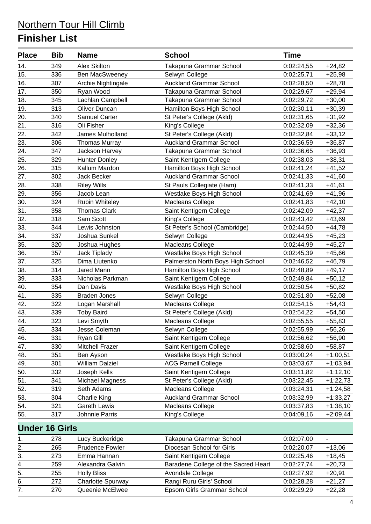| <b>Alex Skilton</b><br>14.<br>349<br>Takapuna Grammar School<br>0:02:24,55<br>$+24,82$<br><b>Ben MacSweeney</b><br>Selwyn College<br>15.<br>336<br>0:02:25,71<br>$+25,98$<br>16.<br>Archie Nightingale<br><b>Auckland Grammar School</b><br>307<br>0:02:28,50<br>$+28,78$<br>17.<br>350<br>Ryan Wood<br>Takapuna Grammar School<br>0:02:29,67<br>$+29,94$<br>18.<br>345<br>Lachlan Campbell<br>Takapuna Grammar School<br>0:02:29,72<br>$+30,00$<br>19.<br>313<br><b>Oliver Duncan</b><br>Hamilton Boys High School<br>0:02:30,11<br>$+30,39$<br>20.<br>Samuel Carter<br>340<br>St Peter's College (Akld)<br>0:02:31,65<br>$+31,92$<br>21.<br>316<br>Oli Fisher<br>$+32,36$<br>King's College<br>0:02:32,09<br>22.<br>342<br>James Mulholland<br>St Peter's College (Akld)<br>0:02:32,84<br>$+33,12$<br>23.<br><b>Thomas Murray</b><br><b>Auckland Grammar School</b><br>306<br>0:02:36,59<br>$+36,87$<br>24.<br>Jackson Harvey<br>Takapuna Grammar School<br>347<br>0:02:36,65<br>$+36,93$<br>25.<br>329<br><b>Hunter Donley</b><br>Saint Kentigern College<br>0:02:38,03<br>$+38,31$<br>26.<br>315<br>Kallum Mardon<br>Hamilton Boys High School<br>0:02:41,24<br>$+41,52$<br>27.<br><b>Auckland Grammar School</b><br>302<br>Jack Becker<br>0:02:41,33<br>$+41,60$<br>28.<br>338<br><b>Riley Wills</b><br>St Pauls Collegiate (Ham)<br>$+41,61$<br>0:02:41,33<br>29.<br>Westlake Boys High School<br>356<br>Jacob Lean<br>0:02:41,69<br>$+41,96$<br>30.<br>324<br>Rubin Whiteley<br>Macleans College<br>0:02:41,83<br>$+42,10$<br>31.<br>358<br><b>Thomas Clark</b><br>Saint Kentigern College<br>$+42,37$<br>0:02:42,09<br>$\overline{32}$ .<br>318<br>Sam Scott<br>King's College<br>0:02:43,42<br>$+43,69$<br>33.<br>344<br>St Peter's School (Cambridge)<br>Lewis Johnston<br>0:02:44,50<br>$+44,78$<br>34.<br>Joshua Sunkel<br>Selwyn College<br>337<br>0:02:44,95<br>$+45,23$<br>35.<br>320<br>Macleans College<br>0:02:44,99<br>$+45,27$<br>Joshua Hughes<br>36.<br>Westlake Boys High School<br>357<br>Jack Tiplady<br>0:02:45,39<br>$+45,66$<br>37.<br>Dima Liutenko<br>Palmerston North Boys High School<br>325<br>0:02:46,52<br>$+46,79$<br>38.<br>Hamilton Boys High School<br>314<br>Jared Mann<br>0:02:48,89<br>$+49,17$<br>39.<br>333<br>Nicholas Parkman<br>Saint Kentigern College<br>0:02:49,84<br>$+50,12$<br>40.<br>354<br>Dan Davis<br>Westlake Boys High School<br>0:02:50,54<br>$+50,82$<br>41.<br>335<br><b>Braden Jones</b><br>Selwyn College<br>0:02:51,80<br>$+52,08$<br>42.<br>322<br>Logan Marshall<br>$+54,43$<br>Macleans College<br>0:02:54,15<br>43.<br>339<br><b>Toby Baird</b><br>St Peter's College (Akld)<br>$+54,50$<br>0:02:54,22<br>44.<br>Levi Smyth<br>323<br>Macleans College<br>0:02:55,55<br>$+55,83$<br>334<br>Selwyn College<br>0:02:55,99<br>Jesse Coleman<br>$+56,26$<br>45.<br>46.<br>331<br>Ryan Gill<br>Saint Kentigern College<br>0:02:56,62<br>$+56,90$<br>Saint Kentigern College<br>330<br>Mitchell Frazer<br>47.<br>0:02:58,60<br>$+58,87$<br>48.<br>351<br>Westlake Boys High School<br>0:03:00,24<br>Ben Ayson<br>$+1:00,51$<br><b>William Dalziel</b><br><b>ACG Parnell College</b><br>49.<br>0:03:03,67<br>301<br>$+1:03,94$<br>50.<br>332<br>Saint Kentigern College<br>Joseph Kells<br>0:03:11,82<br>$+1:12,10$<br>51.<br>St Peter's College (Akld)<br>341<br>Michael Magness<br>0:03:22,45<br>$+1:22,73$<br>52.<br>319<br>Seth Adams<br>Macleans College<br>0:03:24,31<br>$+1:24,58$<br>53.<br><b>Auckland Grammar School</b><br>304<br><b>Charlie King</b><br>0:03:32,99<br>$+1:33,27$<br>54.<br><b>Gareth Lewis</b><br>Macleans College<br>321<br>0:03:37,83<br>$+1:38,10$<br>55.<br>317<br>Johnnie Parris<br>King's College<br>0:04:09,16<br>$+2:09,44$<br><b>Under 16 Girls</b><br>278<br>Lucy Buckeridge<br>Takapuna Grammar School<br>0:02:07,00<br>1.<br>2.<br><b>Prudence Fowler</b><br>Diocesan School for Girls<br>265<br>0:02:20,07<br>$+13,06$<br>3.<br>Emma Hannan<br>Saint Kentigern College<br>$+18,45$<br>273<br>0:02:25,46<br>Baradene College of the Sacred Heart<br>4.<br>259<br>Alexandra Galvin<br>0:02:27,74<br>$+20,73$<br>$\overline{5}$ .<br>255<br><b>Holly Bliss</b><br>Avondale College<br>0:02:27,92<br>$+20,91$<br>6.<br>Rangi Ruru Girls' School<br><b>Charlotte Spurway</b><br>272<br>0:02:28,28<br>$+21,27$<br>$\overline{7}$ .<br>Epsom Girls Grammar School<br>270<br>Queenie McElwee<br>0:02:29,29<br>$+22,28$ | <b>Place</b> | <b>Bib</b> | <b>Name</b> | <b>School</b> | <b>Time</b> |  |
|-----------------------------------------------------------------------------------------------------------------------------------------------------------------------------------------------------------------------------------------------------------------------------------------------------------------------------------------------------------------------------------------------------------------------------------------------------------------------------------------------------------------------------------------------------------------------------------------------------------------------------------------------------------------------------------------------------------------------------------------------------------------------------------------------------------------------------------------------------------------------------------------------------------------------------------------------------------------------------------------------------------------------------------------------------------------------------------------------------------------------------------------------------------------------------------------------------------------------------------------------------------------------------------------------------------------------------------------------------------------------------------------------------------------------------------------------------------------------------------------------------------------------------------------------------------------------------------------------------------------------------------------------------------------------------------------------------------------------------------------------------------------------------------------------------------------------------------------------------------------------------------------------------------------------------------------------------------------------------------------------------------------------------------------------------------------------------------------------------------------------------------------------------------------------------------------------------------------------------------------------------------------------------------------------------------------------------------------------------------------------------------------------------------------------------------------------------------------------------------------------------------------------------------------------------------------------------------------------------------------------------------------------------------------------------------------------------------------------------------------------------------------------------------------------------------------------------------------------------------------------------------------------------------------------------------------------------------------------------------------------------------------------------------------------------------------------------------------------------------------------------------------------------------------------------------------------------------------------------------------------------------------------------------------------------------------------------------------------------------------------------------------------------------------------------------------------------------------------------------------------------------------------------------------------------------------------------------------------------------------------------------------------------------------------------------------------------------------------------------------------------------------------------------------------------------------------------------------------------------------------------------------------------------------------------------------------------------------------------------------------------------------------------------------------------------------------------------------------------------------------------------------------------------------------------------------------------------------------------------------------------------------------------------------------------------------------------------------------------------------------------------------------------------------------|--------------|------------|-------------|---------------|-------------|--|
|                                                                                                                                                                                                                                                                                                                                                                                                                                                                                                                                                                                                                                                                                                                                                                                                                                                                                                                                                                                                                                                                                                                                                                                                                                                                                                                                                                                                                                                                                                                                                                                                                                                                                                                                                                                                                                                                                                                                                                                                                                                                                                                                                                                                                                                                                                                                                                                                                                                                                                                                                                                                                                                                                                                                                                                                                                                                                                                                                                                                                                                                                                                                                                                                                                                                                                                                                                                                                                                                                                                                                                                                                                                                                                                                                                                                                                                                                                                                                                                                                                                                                                                                                                                                                                                                                                                                                                                                                       |              |            |             |               |             |  |
|                                                                                                                                                                                                                                                                                                                                                                                                                                                                                                                                                                                                                                                                                                                                                                                                                                                                                                                                                                                                                                                                                                                                                                                                                                                                                                                                                                                                                                                                                                                                                                                                                                                                                                                                                                                                                                                                                                                                                                                                                                                                                                                                                                                                                                                                                                                                                                                                                                                                                                                                                                                                                                                                                                                                                                                                                                                                                                                                                                                                                                                                                                                                                                                                                                                                                                                                                                                                                                                                                                                                                                                                                                                                                                                                                                                                                                                                                                                                                                                                                                                                                                                                                                                                                                                                                                                                                                                                                       |              |            |             |               |             |  |
|                                                                                                                                                                                                                                                                                                                                                                                                                                                                                                                                                                                                                                                                                                                                                                                                                                                                                                                                                                                                                                                                                                                                                                                                                                                                                                                                                                                                                                                                                                                                                                                                                                                                                                                                                                                                                                                                                                                                                                                                                                                                                                                                                                                                                                                                                                                                                                                                                                                                                                                                                                                                                                                                                                                                                                                                                                                                                                                                                                                                                                                                                                                                                                                                                                                                                                                                                                                                                                                                                                                                                                                                                                                                                                                                                                                                                                                                                                                                                                                                                                                                                                                                                                                                                                                                                                                                                                                                                       |              |            |             |               |             |  |
|                                                                                                                                                                                                                                                                                                                                                                                                                                                                                                                                                                                                                                                                                                                                                                                                                                                                                                                                                                                                                                                                                                                                                                                                                                                                                                                                                                                                                                                                                                                                                                                                                                                                                                                                                                                                                                                                                                                                                                                                                                                                                                                                                                                                                                                                                                                                                                                                                                                                                                                                                                                                                                                                                                                                                                                                                                                                                                                                                                                                                                                                                                                                                                                                                                                                                                                                                                                                                                                                                                                                                                                                                                                                                                                                                                                                                                                                                                                                                                                                                                                                                                                                                                                                                                                                                                                                                                                                                       |              |            |             |               |             |  |
|                                                                                                                                                                                                                                                                                                                                                                                                                                                                                                                                                                                                                                                                                                                                                                                                                                                                                                                                                                                                                                                                                                                                                                                                                                                                                                                                                                                                                                                                                                                                                                                                                                                                                                                                                                                                                                                                                                                                                                                                                                                                                                                                                                                                                                                                                                                                                                                                                                                                                                                                                                                                                                                                                                                                                                                                                                                                                                                                                                                                                                                                                                                                                                                                                                                                                                                                                                                                                                                                                                                                                                                                                                                                                                                                                                                                                                                                                                                                                                                                                                                                                                                                                                                                                                                                                                                                                                                                                       |              |            |             |               |             |  |
|                                                                                                                                                                                                                                                                                                                                                                                                                                                                                                                                                                                                                                                                                                                                                                                                                                                                                                                                                                                                                                                                                                                                                                                                                                                                                                                                                                                                                                                                                                                                                                                                                                                                                                                                                                                                                                                                                                                                                                                                                                                                                                                                                                                                                                                                                                                                                                                                                                                                                                                                                                                                                                                                                                                                                                                                                                                                                                                                                                                                                                                                                                                                                                                                                                                                                                                                                                                                                                                                                                                                                                                                                                                                                                                                                                                                                                                                                                                                                                                                                                                                                                                                                                                                                                                                                                                                                                                                                       |              |            |             |               |             |  |
|                                                                                                                                                                                                                                                                                                                                                                                                                                                                                                                                                                                                                                                                                                                                                                                                                                                                                                                                                                                                                                                                                                                                                                                                                                                                                                                                                                                                                                                                                                                                                                                                                                                                                                                                                                                                                                                                                                                                                                                                                                                                                                                                                                                                                                                                                                                                                                                                                                                                                                                                                                                                                                                                                                                                                                                                                                                                                                                                                                                                                                                                                                                                                                                                                                                                                                                                                                                                                                                                                                                                                                                                                                                                                                                                                                                                                                                                                                                                                                                                                                                                                                                                                                                                                                                                                                                                                                                                                       |              |            |             |               |             |  |
|                                                                                                                                                                                                                                                                                                                                                                                                                                                                                                                                                                                                                                                                                                                                                                                                                                                                                                                                                                                                                                                                                                                                                                                                                                                                                                                                                                                                                                                                                                                                                                                                                                                                                                                                                                                                                                                                                                                                                                                                                                                                                                                                                                                                                                                                                                                                                                                                                                                                                                                                                                                                                                                                                                                                                                                                                                                                                                                                                                                                                                                                                                                                                                                                                                                                                                                                                                                                                                                                                                                                                                                                                                                                                                                                                                                                                                                                                                                                                                                                                                                                                                                                                                                                                                                                                                                                                                                                                       |              |            |             |               |             |  |
|                                                                                                                                                                                                                                                                                                                                                                                                                                                                                                                                                                                                                                                                                                                                                                                                                                                                                                                                                                                                                                                                                                                                                                                                                                                                                                                                                                                                                                                                                                                                                                                                                                                                                                                                                                                                                                                                                                                                                                                                                                                                                                                                                                                                                                                                                                                                                                                                                                                                                                                                                                                                                                                                                                                                                                                                                                                                                                                                                                                                                                                                                                                                                                                                                                                                                                                                                                                                                                                                                                                                                                                                                                                                                                                                                                                                                                                                                                                                                                                                                                                                                                                                                                                                                                                                                                                                                                                                                       |              |            |             |               |             |  |
|                                                                                                                                                                                                                                                                                                                                                                                                                                                                                                                                                                                                                                                                                                                                                                                                                                                                                                                                                                                                                                                                                                                                                                                                                                                                                                                                                                                                                                                                                                                                                                                                                                                                                                                                                                                                                                                                                                                                                                                                                                                                                                                                                                                                                                                                                                                                                                                                                                                                                                                                                                                                                                                                                                                                                                                                                                                                                                                                                                                                                                                                                                                                                                                                                                                                                                                                                                                                                                                                                                                                                                                                                                                                                                                                                                                                                                                                                                                                                                                                                                                                                                                                                                                                                                                                                                                                                                                                                       |              |            |             |               |             |  |
|                                                                                                                                                                                                                                                                                                                                                                                                                                                                                                                                                                                                                                                                                                                                                                                                                                                                                                                                                                                                                                                                                                                                                                                                                                                                                                                                                                                                                                                                                                                                                                                                                                                                                                                                                                                                                                                                                                                                                                                                                                                                                                                                                                                                                                                                                                                                                                                                                                                                                                                                                                                                                                                                                                                                                                                                                                                                                                                                                                                                                                                                                                                                                                                                                                                                                                                                                                                                                                                                                                                                                                                                                                                                                                                                                                                                                                                                                                                                                                                                                                                                                                                                                                                                                                                                                                                                                                                                                       |              |            |             |               |             |  |
|                                                                                                                                                                                                                                                                                                                                                                                                                                                                                                                                                                                                                                                                                                                                                                                                                                                                                                                                                                                                                                                                                                                                                                                                                                                                                                                                                                                                                                                                                                                                                                                                                                                                                                                                                                                                                                                                                                                                                                                                                                                                                                                                                                                                                                                                                                                                                                                                                                                                                                                                                                                                                                                                                                                                                                                                                                                                                                                                                                                                                                                                                                                                                                                                                                                                                                                                                                                                                                                                                                                                                                                                                                                                                                                                                                                                                                                                                                                                                                                                                                                                                                                                                                                                                                                                                                                                                                                                                       |              |            |             |               |             |  |
|                                                                                                                                                                                                                                                                                                                                                                                                                                                                                                                                                                                                                                                                                                                                                                                                                                                                                                                                                                                                                                                                                                                                                                                                                                                                                                                                                                                                                                                                                                                                                                                                                                                                                                                                                                                                                                                                                                                                                                                                                                                                                                                                                                                                                                                                                                                                                                                                                                                                                                                                                                                                                                                                                                                                                                                                                                                                                                                                                                                                                                                                                                                                                                                                                                                                                                                                                                                                                                                                                                                                                                                                                                                                                                                                                                                                                                                                                                                                                                                                                                                                                                                                                                                                                                                                                                                                                                                                                       |              |            |             |               |             |  |
|                                                                                                                                                                                                                                                                                                                                                                                                                                                                                                                                                                                                                                                                                                                                                                                                                                                                                                                                                                                                                                                                                                                                                                                                                                                                                                                                                                                                                                                                                                                                                                                                                                                                                                                                                                                                                                                                                                                                                                                                                                                                                                                                                                                                                                                                                                                                                                                                                                                                                                                                                                                                                                                                                                                                                                                                                                                                                                                                                                                                                                                                                                                                                                                                                                                                                                                                                                                                                                                                                                                                                                                                                                                                                                                                                                                                                                                                                                                                                                                                                                                                                                                                                                                                                                                                                                                                                                                                                       |              |            |             |               |             |  |
|                                                                                                                                                                                                                                                                                                                                                                                                                                                                                                                                                                                                                                                                                                                                                                                                                                                                                                                                                                                                                                                                                                                                                                                                                                                                                                                                                                                                                                                                                                                                                                                                                                                                                                                                                                                                                                                                                                                                                                                                                                                                                                                                                                                                                                                                                                                                                                                                                                                                                                                                                                                                                                                                                                                                                                                                                                                                                                                                                                                                                                                                                                                                                                                                                                                                                                                                                                                                                                                                                                                                                                                                                                                                                                                                                                                                                                                                                                                                                                                                                                                                                                                                                                                                                                                                                                                                                                                                                       |              |            |             |               |             |  |
|                                                                                                                                                                                                                                                                                                                                                                                                                                                                                                                                                                                                                                                                                                                                                                                                                                                                                                                                                                                                                                                                                                                                                                                                                                                                                                                                                                                                                                                                                                                                                                                                                                                                                                                                                                                                                                                                                                                                                                                                                                                                                                                                                                                                                                                                                                                                                                                                                                                                                                                                                                                                                                                                                                                                                                                                                                                                                                                                                                                                                                                                                                                                                                                                                                                                                                                                                                                                                                                                                                                                                                                                                                                                                                                                                                                                                                                                                                                                                                                                                                                                                                                                                                                                                                                                                                                                                                                                                       |              |            |             |               |             |  |
|                                                                                                                                                                                                                                                                                                                                                                                                                                                                                                                                                                                                                                                                                                                                                                                                                                                                                                                                                                                                                                                                                                                                                                                                                                                                                                                                                                                                                                                                                                                                                                                                                                                                                                                                                                                                                                                                                                                                                                                                                                                                                                                                                                                                                                                                                                                                                                                                                                                                                                                                                                                                                                                                                                                                                                                                                                                                                                                                                                                                                                                                                                                                                                                                                                                                                                                                                                                                                                                                                                                                                                                                                                                                                                                                                                                                                                                                                                                                                                                                                                                                                                                                                                                                                                                                                                                                                                                                                       |              |            |             |               |             |  |
|                                                                                                                                                                                                                                                                                                                                                                                                                                                                                                                                                                                                                                                                                                                                                                                                                                                                                                                                                                                                                                                                                                                                                                                                                                                                                                                                                                                                                                                                                                                                                                                                                                                                                                                                                                                                                                                                                                                                                                                                                                                                                                                                                                                                                                                                                                                                                                                                                                                                                                                                                                                                                                                                                                                                                                                                                                                                                                                                                                                                                                                                                                                                                                                                                                                                                                                                                                                                                                                                                                                                                                                                                                                                                                                                                                                                                                                                                                                                                                                                                                                                                                                                                                                                                                                                                                                                                                                                                       |              |            |             |               |             |  |
|                                                                                                                                                                                                                                                                                                                                                                                                                                                                                                                                                                                                                                                                                                                                                                                                                                                                                                                                                                                                                                                                                                                                                                                                                                                                                                                                                                                                                                                                                                                                                                                                                                                                                                                                                                                                                                                                                                                                                                                                                                                                                                                                                                                                                                                                                                                                                                                                                                                                                                                                                                                                                                                                                                                                                                                                                                                                                                                                                                                                                                                                                                                                                                                                                                                                                                                                                                                                                                                                                                                                                                                                                                                                                                                                                                                                                                                                                                                                                                                                                                                                                                                                                                                                                                                                                                                                                                                                                       |              |            |             |               |             |  |
|                                                                                                                                                                                                                                                                                                                                                                                                                                                                                                                                                                                                                                                                                                                                                                                                                                                                                                                                                                                                                                                                                                                                                                                                                                                                                                                                                                                                                                                                                                                                                                                                                                                                                                                                                                                                                                                                                                                                                                                                                                                                                                                                                                                                                                                                                                                                                                                                                                                                                                                                                                                                                                                                                                                                                                                                                                                                                                                                                                                                                                                                                                                                                                                                                                                                                                                                                                                                                                                                                                                                                                                                                                                                                                                                                                                                                                                                                                                                                                                                                                                                                                                                                                                                                                                                                                                                                                                                                       |              |            |             |               |             |  |
|                                                                                                                                                                                                                                                                                                                                                                                                                                                                                                                                                                                                                                                                                                                                                                                                                                                                                                                                                                                                                                                                                                                                                                                                                                                                                                                                                                                                                                                                                                                                                                                                                                                                                                                                                                                                                                                                                                                                                                                                                                                                                                                                                                                                                                                                                                                                                                                                                                                                                                                                                                                                                                                                                                                                                                                                                                                                                                                                                                                                                                                                                                                                                                                                                                                                                                                                                                                                                                                                                                                                                                                                                                                                                                                                                                                                                                                                                                                                                                                                                                                                                                                                                                                                                                                                                                                                                                                                                       |              |            |             |               |             |  |
|                                                                                                                                                                                                                                                                                                                                                                                                                                                                                                                                                                                                                                                                                                                                                                                                                                                                                                                                                                                                                                                                                                                                                                                                                                                                                                                                                                                                                                                                                                                                                                                                                                                                                                                                                                                                                                                                                                                                                                                                                                                                                                                                                                                                                                                                                                                                                                                                                                                                                                                                                                                                                                                                                                                                                                                                                                                                                                                                                                                                                                                                                                                                                                                                                                                                                                                                                                                                                                                                                                                                                                                                                                                                                                                                                                                                                                                                                                                                                                                                                                                                                                                                                                                                                                                                                                                                                                                                                       |              |            |             |               |             |  |
|                                                                                                                                                                                                                                                                                                                                                                                                                                                                                                                                                                                                                                                                                                                                                                                                                                                                                                                                                                                                                                                                                                                                                                                                                                                                                                                                                                                                                                                                                                                                                                                                                                                                                                                                                                                                                                                                                                                                                                                                                                                                                                                                                                                                                                                                                                                                                                                                                                                                                                                                                                                                                                                                                                                                                                                                                                                                                                                                                                                                                                                                                                                                                                                                                                                                                                                                                                                                                                                                                                                                                                                                                                                                                                                                                                                                                                                                                                                                                                                                                                                                                                                                                                                                                                                                                                                                                                                                                       |              |            |             |               |             |  |
|                                                                                                                                                                                                                                                                                                                                                                                                                                                                                                                                                                                                                                                                                                                                                                                                                                                                                                                                                                                                                                                                                                                                                                                                                                                                                                                                                                                                                                                                                                                                                                                                                                                                                                                                                                                                                                                                                                                                                                                                                                                                                                                                                                                                                                                                                                                                                                                                                                                                                                                                                                                                                                                                                                                                                                                                                                                                                                                                                                                                                                                                                                                                                                                                                                                                                                                                                                                                                                                                                                                                                                                                                                                                                                                                                                                                                                                                                                                                                                                                                                                                                                                                                                                                                                                                                                                                                                                                                       |              |            |             |               |             |  |
|                                                                                                                                                                                                                                                                                                                                                                                                                                                                                                                                                                                                                                                                                                                                                                                                                                                                                                                                                                                                                                                                                                                                                                                                                                                                                                                                                                                                                                                                                                                                                                                                                                                                                                                                                                                                                                                                                                                                                                                                                                                                                                                                                                                                                                                                                                                                                                                                                                                                                                                                                                                                                                                                                                                                                                                                                                                                                                                                                                                                                                                                                                                                                                                                                                                                                                                                                                                                                                                                                                                                                                                                                                                                                                                                                                                                                                                                                                                                                                                                                                                                                                                                                                                                                                                                                                                                                                                                                       |              |            |             |               |             |  |
|                                                                                                                                                                                                                                                                                                                                                                                                                                                                                                                                                                                                                                                                                                                                                                                                                                                                                                                                                                                                                                                                                                                                                                                                                                                                                                                                                                                                                                                                                                                                                                                                                                                                                                                                                                                                                                                                                                                                                                                                                                                                                                                                                                                                                                                                                                                                                                                                                                                                                                                                                                                                                                                                                                                                                                                                                                                                                                                                                                                                                                                                                                                                                                                                                                                                                                                                                                                                                                                                                                                                                                                                                                                                                                                                                                                                                                                                                                                                                                                                                                                                                                                                                                                                                                                                                                                                                                                                                       |              |            |             |               |             |  |
|                                                                                                                                                                                                                                                                                                                                                                                                                                                                                                                                                                                                                                                                                                                                                                                                                                                                                                                                                                                                                                                                                                                                                                                                                                                                                                                                                                                                                                                                                                                                                                                                                                                                                                                                                                                                                                                                                                                                                                                                                                                                                                                                                                                                                                                                                                                                                                                                                                                                                                                                                                                                                                                                                                                                                                                                                                                                                                                                                                                                                                                                                                                                                                                                                                                                                                                                                                                                                                                                                                                                                                                                                                                                                                                                                                                                                                                                                                                                                                                                                                                                                                                                                                                                                                                                                                                                                                                                                       |              |            |             |               |             |  |
|                                                                                                                                                                                                                                                                                                                                                                                                                                                                                                                                                                                                                                                                                                                                                                                                                                                                                                                                                                                                                                                                                                                                                                                                                                                                                                                                                                                                                                                                                                                                                                                                                                                                                                                                                                                                                                                                                                                                                                                                                                                                                                                                                                                                                                                                                                                                                                                                                                                                                                                                                                                                                                                                                                                                                                                                                                                                                                                                                                                                                                                                                                                                                                                                                                                                                                                                                                                                                                                                                                                                                                                                                                                                                                                                                                                                                                                                                                                                                                                                                                                                                                                                                                                                                                                                                                                                                                                                                       |              |            |             |               |             |  |
|                                                                                                                                                                                                                                                                                                                                                                                                                                                                                                                                                                                                                                                                                                                                                                                                                                                                                                                                                                                                                                                                                                                                                                                                                                                                                                                                                                                                                                                                                                                                                                                                                                                                                                                                                                                                                                                                                                                                                                                                                                                                                                                                                                                                                                                                                                                                                                                                                                                                                                                                                                                                                                                                                                                                                                                                                                                                                                                                                                                                                                                                                                                                                                                                                                                                                                                                                                                                                                                                                                                                                                                                                                                                                                                                                                                                                                                                                                                                                                                                                                                                                                                                                                                                                                                                                                                                                                                                                       |              |            |             |               |             |  |
|                                                                                                                                                                                                                                                                                                                                                                                                                                                                                                                                                                                                                                                                                                                                                                                                                                                                                                                                                                                                                                                                                                                                                                                                                                                                                                                                                                                                                                                                                                                                                                                                                                                                                                                                                                                                                                                                                                                                                                                                                                                                                                                                                                                                                                                                                                                                                                                                                                                                                                                                                                                                                                                                                                                                                                                                                                                                                                                                                                                                                                                                                                                                                                                                                                                                                                                                                                                                                                                                                                                                                                                                                                                                                                                                                                                                                                                                                                                                                                                                                                                                                                                                                                                                                                                                                                                                                                                                                       |              |            |             |               |             |  |
|                                                                                                                                                                                                                                                                                                                                                                                                                                                                                                                                                                                                                                                                                                                                                                                                                                                                                                                                                                                                                                                                                                                                                                                                                                                                                                                                                                                                                                                                                                                                                                                                                                                                                                                                                                                                                                                                                                                                                                                                                                                                                                                                                                                                                                                                                                                                                                                                                                                                                                                                                                                                                                                                                                                                                                                                                                                                                                                                                                                                                                                                                                                                                                                                                                                                                                                                                                                                                                                                                                                                                                                                                                                                                                                                                                                                                                                                                                                                                                                                                                                                                                                                                                                                                                                                                                                                                                                                                       |              |            |             |               |             |  |
|                                                                                                                                                                                                                                                                                                                                                                                                                                                                                                                                                                                                                                                                                                                                                                                                                                                                                                                                                                                                                                                                                                                                                                                                                                                                                                                                                                                                                                                                                                                                                                                                                                                                                                                                                                                                                                                                                                                                                                                                                                                                                                                                                                                                                                                                                                                                                                                                                                                                                                                                                                                                                                                                                                                                                                                                                                                                                                                                                                                                                                                                                                                                                                                                                                                                                                                                                                                                                                                                                                                                                                                                                                                                                                                                                                                                                                                                                                                                                                                                                                                                                                                                                                                                                                                                                                                                                                                                                       |              |            |             |               |             |  |
|                                                                                                                                                                                                                                                                                                                                                                                                                                                                                                                                                                                                                                                                                                                                                                                                                                                                                                                                                                                                                                                                                                                                                                                                                                                                                                                                                                                                                                                                                                                                                                                                                                                                                                                                                                                                                                                                                                                                                                                                                                                                                                                                                                                                                                                                                                                                                                                                                                                                                                                                                                                                                                                                                                                                                                                                                                                                                                                                                                                                                                                                                                                                                                                                                                                                                                                                                                                                                                                                                                                                                                                                                                                                                                                                                                                                                                                                                                                                                                                                                                                                                                                                                                                                                                                                                                                                                                                                                       |              |            |             |               |             |  |
|                                                                                                                                                                                                                                                                                                                                                                                                                                                                                                                                                                                                                                                                                                                                                                                                                                                                                                                                                                                                                                                                                                                                                                                                                                                                                                                                                                                                                                                                                                                                                                                                                                                                                                                                                                                                                                                                                                                                                                                                                                                                                                                                                                                                                                                                                                                                                                                                                                                                                                                                                                                                                                                                                                                                                                                                                                                                                                                                                                                                                                                                                                                                                                                                                                                                                                                                                                                                                                                                                                                                                                                                                                                                                                                                                                                                                                                                                                                                                                                                                                                                                                                                                                                                                                                                                                                                                                                                                       |              |            |             |               |             |  |
|                                                                                                                                                                                                                                                                                                                                                                                                                                                                                                                                                                                                                                                                                                                                                                                                                                                                                                                                                                                                                                                                                                                                                                                                                                                                                                                                                                                                                                                                                                                                                                                                                                                                                                                                                                                                                                                                                                                                                                                                                                                                                                                                                                                                                                                                                                                                                                                                                                                                                                                                                                                                                                                                                                                                                                                                                                                                                                                                                                                                                                                                                                                                                                                                                                                                                                                                                                                                                                                                                                                                                                                                                                                                                                                                                                                                                                                                                                                                                                                                                                                                                                                                                                                                                                                                                                                                                                                                                       |              |            |             |               |             |  |
|                                                                                                                                                                                                                                                                                                                                                                                                                                                                                                                                                                                                                                                                                                                                                                                                                                                                                                                                                                                                                                                                                                                                                                                                                                                                                                                                                                                                                                                                                                                                                                                                                                                                                                                                                                                                                                                                                                                                                                                                                                                                                                                                                                                                                                                                                                                                                                                                                                                                                                                                                                                                                                                                                                                                                                                                                                                                                                                                                                                                                                                                                                                                                                                                                                                                                                                                                                                                                                                                                                                                                                                                                                                                                                                                                                                                                                                                                                                                                                                                                                                                                                                                                                                                                                                                                                                                                                                                                       |              |            |             |               |             |  |
|                                                                                                                                                                                                                                                                                                                                                                                                                                                                                                                                                                                                                                                                                                                                                                                                                                                                                                                                                                                                                                                                                                                                                                                                                                                                                                                                                                                                                                                                                                                                                                                                                                                                                                                                                                                                                                                                                                                                                                                                                                                                                                                                                                                                                                                                                                                                                                                                                                                                                                                                                                                                                                                                                                                                                                                                                                                                                                                                                                                                                                                                                                                                                                                                                                                                                                                                                                                                                                                                                                                                                                                                                                                                                                                                                                                                                                                                                                                                                                                                                                                                                                                                                                                                                                                                                                                                                                                                                       |              |            |             |               |             |  |
|                                                                                                                                                                                                                                                                                                                                                                                                                                                                                                                                                                                                                                                                                                                                                                                                                                                                                                                                                                                                                                                                                                                                                                                                                                                                                                                                                                                                                                                                                                                                                                                                                                                                                                                                                                                                                                                                                                                                                                                                                                                                                                                                                                                                                                                                                                                                                                                                                                                                                                                                                                                                                                                                                                                                                                                                                                                                                                                                                                                                                                                                                                                                                                                                                                                                                                                                                                                                                                                                                                                                                                                                                                                                                                                                                                                                                                                                                                                                                                                                                                                                                                                                                                                                                                                                                                                                                                                                                       |              |            |             |               |             |  |
|                                                                                                                                                                                                                                                                                                                                                                                                                                                                                                                                                                                                                                                                                                                                                                                                                                                                                                                                                                                                                                                                                                                                                                                                                                                                                                                                                                                                                                                                                                                                                                                                                                                                                                                                                                                                                                                                                                                                                                                                                                                                                                                                                                                                                                                                                                                                                                                                                                                                                                                                                                                                                                                                                                                                                                                                                                                                                                                                                                                                                                                                                                                                                                                                                                                                                                                                                                                                                                                                                                                                                                                                                                                                                                                                                                                                                                                                                                                                                                                                                                                                                                                                                                                                                                                                                                                                                                                                                       |              |            |             |               |             |  |
|                                                                                                                                                                                                                                                                                                                                                                                                                                                                                                                                                                                                                                                                                                                                                                                                                                                                                                                                                                                                                                                                                                                                                                                                                                                                                                                                                                                                                                                                                                                                                                                                                                                                                                                                                                                                                                                                                                                                                                                                                                                                                                                                                                                                                                                                                                                                                                                                                                                                                                                                                                                                                                                                                                                                                                                                                                                                                                                                                                                                                                                                                                                                                                                                                                                                                                                                                                                                                                                                                                                                                                                                                                                                                                                                                                                                                                                                                                                                                                                                                                                                                                                                                                                                                                                                                                                                                                                                                       |              |            |             |               |             |  |
|                                                                                                                                                                                                                                                                                                                                                                                                                                                                                                                                                                                                                                                                                                                                                                                                                                                                                                                                                                                                                                                                                                                                                                                                                                                                                                                                                                                                                                                                                                                                                                                                                                                                                                                                                                                                                                                                                                                                                                                                                                                                                                                                                                                                                                                                                                                                                                                                                                                                                                                                                                                                                                                                                                                                                                                                                                                                                                                                                                                                                                                                                                                                                                                                                                                                                                                                                                                                                                                                                                                                                                                                                                                                                                                                                                                                                                                                                                                                                                                                                                                                                                                                                                                                                                                                                                                                                                                                                       |              |            |             |               |             |  |
|                                                                                                                                                                                                                                                                                                                                                                                                                                                                                                                                                                                                                                                                                                                                                                                                                                                                                                                                                                                                                                                                                                                                                                                                                                                                                                                                                                                                                                                                                                                                                                                                                                                                                                                                                                                                                                                                                                                                                                                                                                                                                                                                                                                                                                                                                                                                                                                                                                                                                                                                                                                                                                                                                                                                                                                                                                                                                                                                                                                                                                                                                                                                                                                                                                                                                                                                                                                                                                                                                                                                                                                                                                                                                                                                                                                                                                                                                                                                                                                                                                                                                                                                                                                                                                                                                                                                                                                                                       |              |            |             |               |             |  |
|                                                                                                                                                                                                                                                                                                                                                                                                                                                                                                                                                                                                                                                                                                                                                                                                                                                                                                                                                                                                                                                                                                                                                                                                                                                                                                                                                                                                                                                                                                                                                                                                                                                                                                                                                                                                                                                                                                                                                                                                                                                                                                                                                                                                                                                                                                                                                                                                                                                                                                                                                                                                                                                                                                                                                                                                                                                                                                                                                                                                                                                                                                                                                                                                                                                                                                                                                                                                                                                                                                                                                                                                                                                                                                                                                                                                                                                                                                                                                                                                                                                                                                                                                                                                                                                                                                                                                                                                                       |              |            |             |               |             |  |
|                                                                                                                                                                                                                                                                                                                                                                                                                                                                                                                                                                                                                                                                                                                                                                                                                                                                                                                                                                                                                                                                                                                                                                                                                                                                                                                                                                                                                                                                                                                                                                                                                                                                                                                                                                                                                                                                                                                                                                                                                                                                                                                                                                                                                                                                                                                                                                                                                                                                                                                                                                                                                                                                                                                                                                                                                                                                                                                                                                                                                                                                                                                                                                                                                                                                                                                                                                                                                                                                                                                                                                                                                                                                                                                                                                                                                                                                                                                                                                                                                                                                                                                                                                                                                                                                                                                                                                                                                       |              |            |             |               |             |  |
|                                                                                                                                                                                                                                                                                                                                                                                                                                                                                                                                                                                                                                                                                                                                                                                                                                                                                                                                                                                                                                                                                                                                                                                                                                                                                                                                                                                                                                                                                                                                                                                                                                                                                                                                                                                                                                                                                                                                                                                                                                                                                                                                                                                                                                                                                                                                                                                                                                                                                                                                                                                                                                                                                                                                                                                                                                                                                                                                                                                                                                                                                                                                                                                                                                                                                                                                                                                                                                                                                                                                                                                                                                                                                                                                                                                                                                                                                                                                                                                                                                                                                                                                                                                                                                                                                                                                                                                                                       |              |            |             |               |             |  |
|                                                                                                                                                                                                                                                                                                                                                                                                                                                                                                                                                                                                                                                                                                                                                                                                                                                                                                                                                                                                                                                                                                                                                                                                                                                                                                                                                                                                                                                                                                                                                                                                                                                                                                                                                                                                                                                                                                                                                                                                                                                                                                                                                                                                                                                                                                                                                                                                                                                                                                                                                                                                                                                                                                                                                                                                                                                                                                                                                                                                                                                                                                                                                                                                                                                                                                                                                                                                                                                                                                                                                                                                                                                                                                                                                                                                                                                                                                                                                                                                                                                                                                                                                                                                                                                                                                                                                                                                                       |              |            |             |               |             |  |
|                                                                                                                                                                                                                                                                                                                                                                                                                                                                                                                                                                                                                                                                                                                                                                                                                                                                                                                                                                                                                                                                                                                                                                                                                                                                                                                                                                                                                                                                                                                                                                                                                                                                                                                                                                                                                                                                                                                                                                                                                                                                                                                                                                                                                                                                                                                                                                                                                                                                                                                                                                                                                                                                                                                                                                                                                                                                                                                                                                                                                                                                                                                                                                                                                                                                                                                                                                                                                                                                                                                                                                                                                                                                                                                                                                                                                                                                                                                                                                                                                                                                                                                                                                                                                                                                                                                                                                                                                       |              |            |             |               |             |  |
|                                                                                                                                                                                                                                                                                                                                                                                                                                                                                                                                                                                                                                                                                                                                                                                                                                                                                                                                                                                                                                                                                                                                                                                                                                                                                                                                                                                                                                                                                                                                                                                                                                                                                                                                                                                                                                                                                                                                                                                                                                                                                                                                                                                                                                                                                                                                                                                                                                                                                                                                                                                                                                                                                                                                                                                                                                                                                                                                                                                                                                                                                                                                                                                                                                                                                                                                                                                                                                                                                                                                                                                                                                                                                                                                                                                                                                                                                                                                                                                                                                                                                                                                                                                                                                                                                                                                                                                                                       |              |            |             |               |             |  |
|                                                                                                                                                                                                                                                                                                                                                                                                                                                                                                                                                                                                                                                                                                                                                                                                                                                                                                                                                                                                                                                                                                                                                                                                                                                                                                                                                                                                                                                                                                                                                                                                                                                                                                                                                                                                                                                                                                                                                                                                                                                                                                                                                                                                                                                                                                                                                                                                                                                                                                                                                                                                                                                                                                                                                                                                                                                                                                                                                                                                                                                                                                                                                                                                                                                                                                                                                                                                                                                                                                                                                                                                                                                                                                                                                                                                                                                                                                                                                                                                                                                                                                                                                                                                                                                                                                                                                                                                                       |              |            |             |               |             |  |
|                                                                                                                                                                                                                                                                                                                                                                                                                                                                                                                                                                                                                                                                                                                                                                                                                                                                                                                                                                                                                                                                                                                                                                                                                                                                                                                                                                                                                                                                                                                                                                                                                                                                                                                                                                                                                                                                                                                                                                                                                                                                                                                                                                                                                                                                                                                                                                                                                                                                                                                                                                                                                                                                                                                                                                                                                                                                                                                                                                                                                                                                                                                                                                                                                                                                                                                                                                                                                                                                                                                                                                                                                                                                                                                                                                                                                                                                                                                                                                                                                                                                                                                                                                                                                                                                                                                                                                                                                       |              |            |             |               |             |  |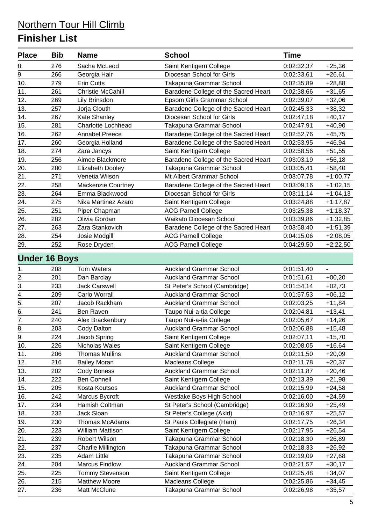| <b>Place</b>         | <b>Bib</b> | <b>Name</b>               | <b>School</b>                        | <b>Time</b> |            |
|----------------------|------------|---------------------------|--------------------------------------|-------------|------------|
| 8.                   | 276        | Sacha McLeod              | Saint Kentigern College              | 0:02:32,37  | $+25,36$   |
| 9.                   | 266        | Georgia Hair              | Diocesan School for Girls            | 0:02:33,61  | $+26,61$   |
| 10.                  | 279        | <b>Erin Cutts</b>         | Takapuna Grammar School              | 0:02:35,89  | $+28,88$   |
| 11.                  | 261        | <b>Christie McCahill</b>  | Baradene College of the Sacred Heart | 0:02:38,66  | $+31,65$   |
| 12.                  | 269        | Lily Brinsdon             | Epsom Girls Grammar School           | 0:02:39,07  | $+32,06$   |
| 13.                  | 257        | Jorja Clouth              | Baradene College of the Sacred Heart | 0:02:45,33  | $+38,32$   |
| 14.                  | 267        | Kate Shanley              | Diocesan School for Girls            | 0:02:47,18  | $+40,17$   |
| 15.                  | 281        | <b>Charlotte Lochhead</b> | Takapuna Grammar School              | 0:02:47,91  | $+40,90$   |
| 16.                  | 262        | <b>Annabel Preece</b>     | Baradene College of the Sacred Heart | 0:02:52,76  | $+45,75$   |
| 17.                  | 260        | Georgia Holland           | Baradene College of the Sacred Heart | 0:02:53,95  | $+46,94$   |
| 18.                  | 274        | Zara Jancys               | Saint Kentigern College              | 0:02:58,56  | $+51,55$   |
| 19.                  | 256        | Aimee Blackmore           | Baradene College of the Sacred Heart | 0:03:03,19  | $+56,18$   |
| 20.                  | 280        | Elizabeth Dooley          | Takapuna Grammar School              | 0:03:05,41  | $+58,40$   |
| 21.                  | 271        | Venetia Wilson            | Mt Albert Grammar School             | 0:03:07,78  | $+1:00,77$ |
| 22.                  | 258        | <b>Mackenzie Courtney</b> | Baradene College of the Sacred Heart | 0:03:09,16  | $+1:02,15$ |
| 23.                  | 264        | Emma Blackwood            | Diocesan School for Girls            | 0:03:11,14  | $+1:04,13$ |
| 24.                  | 275        | Nika Martinez Azaro       | Saint Kentigern College              | 0:03:24,88  | $+1:17,87$ |
| 25.                  | 251        | Piper Chapman             | <b>ACG Parnell College</b>           | 0:03:25,38  | $+1:18,37$ |
| 26.                  | 282        | Olivia Gordan             | Waikato Diocesan School              | 0:03:39,86  | $+1:32,85$ |
| 27.                  | 263        | Zara Stankovich           | Baradene College of the Sacred Heart | 0:03:58,40  | $+1:51,39$ |
| 28.                  | 254        | Josie Modgill             | <b>ACG Parnell College</b>           | 0:04:15,06  | $+2:08,05$ |
| 29.                  | 252        | Rose Dryden               | <b>ACG Parnell College</b>           | 0:04:29,50  | $+2:22,50$ |
| <b>Under 16 Boys</b> |            |                           |                                      |             |            |
| 1.                   | 208        | <b>Tom Waters</b>         | <b>Auckland Grammar School</b>       | 0:01:51,40  |            |
| 2.                   | 201        | Dan Barclay               | <b>Auckland Grammar School</b>       | 0:01:51,61  | $+00,20$   |
| 3.                   | 233        | <b>Jack Carswell</b>      | St Peter's School (Cambridge)        | 0:01:54,14  | $+02,73$   |
| 4.                   | 209        | Carlo Worrall             | <b>Auckland Grammar School</b>       | 0:01:57,53  | $+06,12$   |
| 5.                   | 207        | Jacob Rackham             | <b>Auckland Grammar School</b>       | 0:02:03,25  | $+11,84$   |
| 6.                   | 241        | Ben Raven                 | Taupo Nui-a-tia College              | 0:02:04,81  | $+13,41$   |
| 7.                   | 240        | Alex Brackenbury          | Taupo Nui-a-tia College              | 0:02:05,67  | $+14,26$   |
| 8.                   | 203        | Cody Dalton               | <b>Auckland Grammar School</b>       | 0:02:06,88  | $+15,48$   |
| 9.                   | 224        | Jacob Spring              | Saint Kentigern College              | 0:02:07,11  | $+15,70$   |
| 10.                  | 226        | Nicholas Wales            | Saint Kentigern College              | 0:02:08,05  | $+16,64$   |
| 11.                  | 206        | <b>Thomas Mullins</b>     | <b>Auckland Grammar School</b>       | 0:02:11,50  | $+20,09$   |
| 12.                  | 216        | <b>Bailey Moran</b>       | Macleans College                     | 0:02:11,78  | $+20,37$   |
| 13.                  | 202        | <b>Cody Boness</b>        | <b>Auckland Grammar School</b>       | 0:02:11,87  | $+20,46$   |
| 14.                  | 222        | <b>Ben Connell</b>        | Saint Kentigern College              | 0:02:13,39  | $+21,98$   |
| 15.                  | 205        | Kosta Koutsos             | <b>Auckland Grammar School</b>       | 0:02:15,99  | $+24,58$   |
| 16.                  | 242        | Marcus Bycroft            | Westlake Boys High School            | 0:02:16,00  | $+24,59$   |
| 17.                  | 234        | Hamish Coltman            | St Peter's School (Cambridge)        | 0:02:16,90  | $+25,49$   |
| 18.                  | 232        | Jack Sloan                | St Peter's College (Akld)            | 0:02:16,97  | $+25,57$   |
| 19.                  | 230        | Thomas McAdams            | St Pauls Collegiate (Ham)            | 0:02:17,75  | $+26,34$   |
| 20.                  | 223        | William Mattison          | Saint Kentigern College              | 0:02:17,95  | $+26,54$   |
| 21.                  | 239        | Robert Wilson             | Takapuna Grammar School              | 0:02:18,30  | $+26,89$   |
| 22.                  | 237        | Charlie Millington        | Takapuna Grammar School              | 0:02:18,33  | $+26,92$   |
| 23.                  | 235        | Adam Little               | Takapuna Grammar School              | 0:02:19,09  | $+27,68$   |
| 24.                  | 204        | <b>Marcus Findlow</b>     | <b>Auckland Grammar School</b>       | 0:02:21,57  | $+30,17$   |
| 25.                  | 225        | <b>Tommy Stevenson</b>    | Saint Kentigern College              | 0:02:25,48  | $+34,07$   |
| 26.                  | 215        | <b>Matthew Moore</b>      | Macleans College                     | 0:02:25,86  | $+34,45$   |
| 27.                  | 236        | Matt McClune              | Takapuna Grammar School              | 0:02:26,98  | $+35,57$   |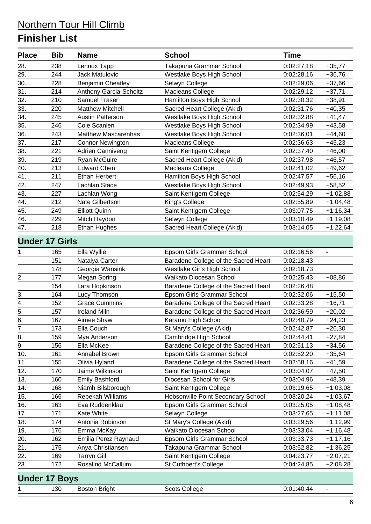| <b>Place</b> | <b>Bib</b>            | <b>Name</b>                | <b>School</b>                        | <b>Time</b> |            |
|--------------|-----------------------|----------------------------|--------------------------------------|-------------|------------|
| 28.          | 238                   | Lennox Tapp                | Takapuna Grammar School              | 0:02:27,18  | $+35,77$   |
| 29.          | 244                   | <b>Jack Matulovic</b>      | Westlake Boys High School            | 0:02:28,16  | $+36,76$   |
| 30.          | 228                   | <b>Benjamin Cheatley</b>   | Selwyn College                       | 0:02:29,06  | $+37,66$   |
| 31.          | 214                   | Anthony Garcia-Scholtz     | <b>Macleans College</b>              | 0:02:29,12  | $+37,71$   |
| 32.          | 210                   | <b>Samuel Fraser</b>       | Hamilton Boys High School            | 0:02:30,32  | $+38,91$   |
| 33.          | 220                   | <b>Matthew Mitchell</b>    | Sacred Heart College (Akld)          | 0:02:31,76  | $+40,35$   |
| 34.          | 245                   | <b>Austin Patterson</b>    | Westlake Boys High School            | 0:02:32,88  | $+41,47$   |
| 35.          | 246                   | Cole Scanlen               | Westlake Boys High School            | 0:02:34,99  | $+43,58$   |
| 36.          | 243                   | <b>Matthew Mascarenhas</b> | Westlake Boys High School            | 0:02:36,01  | $+44,60$   |
| 37.          | 217                   | <b>Connor Newington</b>    | Macleans College                     | 0:02:36,63  | $+45,23$   |
| 38.          | 221                   | <b>Adrien Canniveng</b>    | Saint Kentigern College              | 0:02:37,40  | $+46,00$   |
| 39.          | 219                   | Ryan McGuire               | Sacred Heart College (Akld)          | 0:02:37,98  | $+46,57$   |
| 40.          | 213                   | <b>Edward Chen</b>         | Macleans College                     | 0:02:41,02  | $+49,62$   |
| 41.          | 211                   | <b>Ethan Herbert</b>       | Hamilton Boys High School            | 0:02:47,57  | $+56,16$   |
| 42.          | 247                   | Lachlan Stace              | Westlake Boys High School            | 0:02:49,93  | $+58,52$   |
| 43.          | 227                   | Lachlan Wong               | Saint Kentigern College              | 0:02:54,29  | $+1:02,88$ |
| 44.          | 212                   | Nate Gilbertson            | King's College                       | 0:02:55,89  | $+1:04,48$ |
| 45.          | 249                   | <b>Elliott Quinn</b>       | Saint Kentigern College              | 0:03:07,75  | $+1:16,34$ |
| 46.          | 229                   | Mitch Haydon               | Selwyn College                       | 0:03:10,49  | $+1:19,08$ |
| 47.          | 218                   | <b>Ethan Hughes</b>        | Sacred Heart College (Akld)          | 0:03:14,05  | $+1:22,64$ |
|              | <b>Under 17 Girls</b> |                            |                                      |             |            |
| 1.           | 165                   | Ella Wyllie                | Epsom Girls Grammar School           | 0:02:16,56  |            |
|              | 151                   | Natalya Carter             | Baradene College of the Sacred Heart | 0:02:18,43  |            |
|              | 178                   | Georgia Wansink            | Westlake Girls High School           | 0:02:18,73  |            |
| 2.           | 177                   | Megan Spring               | Waikato Diocesan School              | 0:02:25,43  | $+08,86$   |
|              | 154                   | Lara Hopkinson             | Baradene College of the Sacred Heart | 0:02:26,48  |            |
| 3.           | 164                   | Lucy Thomson               | Epsom Girls Grammar School           | 0:02:32,06  | $+15,50$   |
| 4.           | 152                   | <b>Grace Cummins</b>       | Baradene College of the Sacred Heart | 0:02:33,28  | $+16,71$   |
| 5.           | 157                   | <b>Ireland Miln</b>        | Baradene College of the Sacred Heart | 0:02:36,59  | $+20,02$   |
| 6.           | 167                   | Aimee Shaw                 | Karamu High School                   | 0:02:40,79  | $+24,23$   |
| 7.           | 173                   | Ella Couch                 | St Mary's College (Akld)             | 0:02:42,87  | $+26,30$   |
| 8.           | 159                   | Mya Anderson               | Cambridge High School                | 0:02:44,41  | $+27,84$   |
| 9.           | 156                   | Ella McKee                 | Baradene College of the Sacred Heart | 0:02:51,13  | $+34,56$   |
| 10.          | 161                   | Annabel Brown              | Epsom Girls Grammar School           | 0:02:52,20  | $+35,64$   |
| 11.          | 155                   | Olivia Hyland              | Baradene College of the Sacred Heart | 0:02:58,16  | $+41,59$   |
| 12.          | 170                   | Jaime Wilkinson            | Saint Kentigern College              | 0:03:04,07  | $+47,50$   |
| 13.          | 160                   | <b>Emily Bashford</b>      | Diocesan School for Girls            | 0:03:04,96  | $+48,39$   |
| 14.          | 168                   | Niamh Bilsborough          | Saint Kentigern College              | 0:03:19,65  | $+1:03,08$ |
| 15.          | 166                   | Rebekah Williams           | Hobsonville Point Secondary School   | 0:03:20,24  | $+1:03,67$ |
| 16.          | 163                   | Eva Ruddenklau             | Epsom Girls Grammar School           | 0:03:25,05  | $+1:08,48$ |
| 17.          | 171                   | Kate White                 | Selwyn College                       | 0:03:27,65  | $+1:11,08$ |
| 18.          | 174                   | Antonia Robinson           | St Mary's College (Akld)             | 0:03:29,56  | $+1:12,99$ |
| 19.          | 176                   | Emma McKay                 | Waikato Diocesan School              | 0:03:33,04  | $+1:16,48$ |
| 20.          | 162                   | Emilia Perez Raynaud       | Epsom Girls Grammar School           | 0:03:33,73  | $+1:17,16$ |
| 21.          | 175                   | Anya Christiansen          | Takapuna Grammar School              | 0:03:52,82  | $+1:36,25$ |
| 22.          | 169                   | <b>Tarryn Gill</b>         | Saint Kentigern College              | 0:04:23,77  | $+2:07,21$ |
| 23.          | 172                   | Rosalind McCallum          | St Cuthbert's College                | 0:04:24,85  | $+2:08,28$ |
|              | <b>Under 17 Boys</b>  |                            |                                      |             |            |

|  |  | 130 | ما سے رب کا<br>ROSTOL<br>srian<br>-------- | College<br>cots<br>$\cdots$ | .<br>-41<br>л л |
|--|--|-----|--------------------------------------------|-----------------------------|-----------------|
|--|--|-----|--------------------------------------------|-----------------------------|-----------------|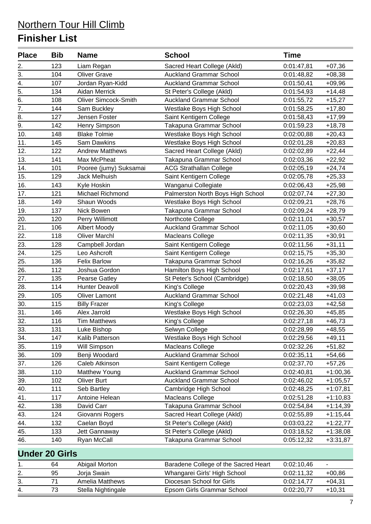| <b>Place</b>          | <b>Bib</b> | <b>Name</b>                 | <b>School</b>                        | <b>Time</b> |                          |
|-----------------------|------------|-----------------------------|--------------------------------------|-------------|--------------------------|
| 2.                    | 123        | Liam Regan                  | Sacred Heart College (Akld)          | 0:01:47,81  | $+07,36$                 |
| $\overline{3}$ .      | 104        | <b>Oliver Grave</b>         | <b>Auckland Grammar School</b>       | 0:01:48,82  | $+08,38$                 |
| 4.                    | 107        | Jordan Ryan-Kidd            | <b>Auckland Grammar School</b>       | 0:01:50,41  | $+09,96$                 |
| 5.                    | 134        | Aidan Merrick               | St Peter's College (Akld)            | 0:01:54,93  | $+14,48$                 |
| 6.                    | 108        | <b>Oliver Simcock-Smith</b> | <b>Auckland Grammar School</b>       | 0:01:55,72  | $+15,27$                 |
| 7.                    | 144        | Sam Buckley                 | Westlake Boys High School            | 0:01:58,25  | $+17,80$                 |
| 8.                    | 127        | Jensen Foster               | Saint Kentigern College              | 0:01:58,43  | $+17,99$                 |
| 9.                    | 142        | Henry Simpson               | Takapuna Grammar School              | 0:01:59,23  | $+18,78$                 |
| 10.                   | 148        | <b>Blake Tolmie</b>         | Westlake Boys High School            | 0:02:00,88  | $+20,43$                 |
| 11.                   | 145        | <b>Sam Dawkins</b>          | Westlake Boys High School            | 0:02:01,28  | $+20,83$                 |
| 12.                   | 122        | <b>Andrew Matthews</b>      | Sacred Heart College (Akld)          | 0:02:02,89  | $+22,44$                 |
| 13.                   | 141        | Max McPheat                 | Takapuna Grammar School              | 0:02:03,36  | $+22,92$                 |
| 14.                   | 101        | Pooree (jumy) Suksamai      | <b>ACG Strathallan College</b>       | 0:02:05,19  | $+24,74$                 |
| 15.                   | 129        | Jack Melhuish               | Saint Kentigern College              | 0:02:05,78  | $+25,33$                 |
| 16.                   | 143        | Kyle Hoskin                 | Wanganui Collegiate                  | 0:02:06,43  | $+25,98$                 |
| 17.                   | 121        | Michael Richmond            | Palmerston North Boys High School    | 0:02:07,74  | $+27,30$                 |
| 18.                   | 149        | Shaun Woods                 | Westlake Boys High School            | 0:02:09,21  | $+28,76$                 |
| 19.                   | 137        | Nick Bowen                  | Takapuna Grammar School              | 0:02:09,24  | $+28,79$                 |
| 20.                   | 120        | Perry Willimott             | Northcote College                    | 0:02:11,01  | $+30,57$                 |
| 21.                   | 106        | Albert Moody                | <b>Auckland Grammar School</b>       | 0:02:11,05  | $+30,60$                 |
| 22.                   | 118        | <b>Oliver Marchl</b>        | Macleans College                     | 0:02:11,35  | $+30,91$                 |
| 23.                   | 128        | Campbell Jordan             | Saint Kentigern College              | 0:02:11,56  | $+31,11$                 |
| 24.                   | 125        | Leo Ashcroft                | Saint Kentigern College              | 0:02:15,75  | $+35,30$                 |
| 25.                   | 136        | <b>Felix Barlow</b>         | Takapuna Grammar School              | 0:02:16,26  | $+35,82$                 |
| 26.                   | 112        | Joshua Gordon               | Hamilton Boys High School            | 0:02:17,61  | $+37,17$                 |
| 27.                   | 135        | Pearse Gatley               | St Peter's School (Cambridge)        | 0:02:18,50  | $+38,05$                 |
| 28.                   | 114        | <b>Hunter Deavoll</b>       | King's College                       | 0:02:20,43  | $+39,98$                 |
| 29.                   | 105        | <b>Oliver Lamont</b>        | <b>Auckland Grammar School</b>       | 0:02:21,48  | $+41,03$                 |
| 30.                   | 115        | <b>Billy Frazer</b>         | King's College                       | 0:02:23,03  | $+42,58$                 |
| 31.                   | 146        | Alex Jarrold                | Westlake Boys High School            | 0:02:26,30  | $+45,85$                 |
| 32.                   | 116        | <b>Tim Matthews</b>         | King's College                       | 0:02:27,18  | $+46,73$                 |
| 33.                   | 131        | Luke Bishop                 | Selwyn College                       | 0:02:28,99  | +48,55                   |
| 34.                   | 147        | Kalib Patterson             | Westlake Boys High School            | 0:02:29,56  | $+49,11$                 |
| 35.                   | 119        | Will Simpson                | Macleans College                     | 0:02:32,26  | $+51,82$                 |
| 36.                   | 109        | Benji Woodard               | <b>Auckland Grammar School</b>       | 0:02:35,11  | $+54,66$                 |
| 37.                   | 126        | Caleb Atkinson              | Saint Kentigern College              | 0:02:37,70  | $+57,26$                 |
| 38.                   | 110        | Matthew Young               | <b>Auckland Grammar School</b>       | 0:02:40,81  | $+1:00,36$               |
| 39.                   | 102        | <b>Oliver Burt</b>          | <b>Auckland Grammar School</b>       | 0:02:46,02  | $+1:05,57$               |
| 40.                   | 111        | Seb Bartley                 | Cambridge High School                | 0:02:48,25  | $+1:07,81$               |
| 41.                   | 117        | Antoine Helean              | Macleans College                     | 0:02:51,28  | $+1:10,83$               |
| 42.                   | 138        | David Carr                  | Takapuna Grammar School              | 0:02:54,84  | $+1:14,39$               |
| 43.                   | 124        | Giovanni Rogers             | Sacred Heart College (Akld)          | 0:02:55,89  | $+1:15,44$               |
| 44.                   | 132        | Caelan Boyd                 | St Peter's College (Akld)            | 0:03:03,22  | $+1:22,77$               |
| 45.                   | 133        | Jett Gannaway               | St Peter's College (Akld)            | 0:03:18,52  | $+1:38,08$               |
| 46.                   | 140        | Ryan McCall                 | Takapuna Grammar School              | 0:05:12,32  | $+3:31,87$               |
| <b>Under 20 Girls</b> |            |                             |                                      |             |                          |
| 1.                    | 64         | Abigail Morton              | Baradene College of the Sacred Heart | 0:02:10,46  | $\overline{\phantom{0}}$ |
| 2.                    | 95         | Jorja Swain                 | Whangarei Girls' High School         | 0:02:11,32  | $+00,86$                 |
| 3.                    | 71         | Amelia Matthews             | Diocesan School for Girls            | 0:02:14,77  | $+04,31$                 |
| 4.                    | 73         | Stella Nightingale          | Epsom Girls Grammar School           | 0:02:20,77  | $+10,31$                 |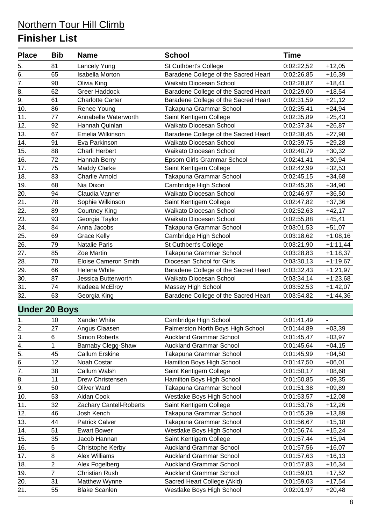| <b>Place</b>     | <b>Bib</b>           | <b>Name</b>                 | <b>School</b>                        | <b>Time</b> |            |
|------------------|----------------------|-----------------------------|--------------------------------------|-------------|------------|
| 5.               | 81                   | Lancely Yung                | St Cuthbert's College                | 0:02:22,52  | $+12,05$   |
| 6.               | 65                   | <b>Isabella Morton</b>      | Baradene College of the Sacred Heart | 0:02:26,85  | $+16,39$   |
| 7.               | 90                   | Olivia King                 | Waikato Diocesan School              | 0:02:28,87  | $+18,41$   |
| 8.               | 62                   | <b>Greer Haddock</b>        | Baradene College of the Sacred Heart | 0:02:29,00  | $+18,54$   |
| 9.               | 61                   | <b>Charlotte Carter</b>     | Baradene College of the Sacred Heart | 0:02:31,59  | $+21,12$   |
| 10.              | 86                   | Renee Young                 | Takapuna Grammar School              | 0:02:35,41  | $+24,94$   |
| 11.              | 77                   | Annabelle Waterworth        | Saint Kentigern College              | 0:02:35,89  | $+25,43$   |
| 12.              | 92                   | Hannah Quinlan              | Waikato Diocesan School              | 0:02:37,34  | $+26,87$   |
| 13.              | 67                   | Emelia Wilkinson            | Baradene College of the Sacred Heart | 0:02:38,45  | $+27,98$   |
| 14.              | 91                   | Eva Parkinson               | Waikato Diocesan School              | 0:02:39,75  | $+29,28$   |
| 15.              | 88                   | Charli Herbert              | Waikato Diocesan School              | 0:02:40,79  | $+30,32$   |
| 16.              | 72                   | Hannah Berry                | Epsom Girls Grammar School           | 0:02:41,41  | $+30,94$   |
| 17.              | 75                   | <b>Maddy Clarke</b>         | Saint Kentigern College              | 0:02:42,99  | $+32,53$   |
| 18.              | 83                   | <b>Charlie Arnold</b>       | Takapuna Grammar School              | 0:02:45,15  | $+34,68$   |
| 19.              | 68                   | Nia Dixon                   | Cambridge High School                | 0:02:45,36  | $+34,90$   |
| 20.              | 94                   | Claudia Vanner              | Waikato Diocesan School              | 0:02:46,97  | $+36,50$   |
| 21.              | 78                   | Sophie Wilkinson            | Saint Kentigern College              | 0:02:47,82  | $+37,36$   |
| 22.              | 89                   | <b>Courtney King</b>        | Waikato Diocesan School              | 0:02:52,63  | $+42,17$   |
| 23.              | 93                   | Georgia Taylor              | Waikato Diocesan School              | 0:02:55,88  | $+45,41$   |
| 24.              | 84                   | Anna Jacobs                 | Takapuna Grammar School              | 0:03:01,53  | $+51,07$   |
| 25.              | 69                   | <b>Grace Kelly</b>          | Cambridge High School                | 0:03:18,62  | $+1:08,16$ |
| 26.              | 79                   | <b>Natalie Paris</b>        | St Cuthbert's College                | 0:03:21,90  | $+1:11,44$ |
| 27.              | 85                   | Zoe Martin                  | Takapuna Grammar School              | 0:03:28,83  | $+1:18,37$ |
| 28.              | 70                   | <b>Eloise Cameron Smith</b> | Diocesan School for Girls            | 0:03:30,13  | $+1:19,67$ |
| 29.              | 66                   | Helena White                | Baradene College of the Sacred Heart | 0:03:32,43  | $+1:21,97$ |
| 30.              | 87                   | Jessica Butterworth         | Waikato Diocesan School              | 0:03:34,14  | $+1:23,68$ |
| 31.              | 74                   | Kadeea McElroy              | Massey High School                   | 0:03:52,53  | $+1:42,07$ |
| 32.              | 63                   | Georgia King                | Baradene College of the Sacred Heart | 0:03:54,82  | $+1:44,36$ |
|                  | <b>Under 20 Boys</b> |                             |                                      |             |            |
| 1.               | 10                   | Xander White                | Cambridge High School                | 0:01:41,49  |            |
|                  | 27                   | Angus Claasen               | Palmerston North Boys High School    | 0:01:44,89  | $+03,39$   |
| $\frac{2}{3}$ .  | 6                    | Simon Roberts               | <b>Auckland Grammar School</b>       | 0:01:45,47  | $+03,97$   |
| $\overline{4}$ . | 1                    | Barnaby Clegg-Shaw          | <b>Auckland Grammar School</b>       | 0:01:45,64  | $+04,15$   |
| 5.               | 45                   | <b>Callum Erskine</b>       | Takapuna Grammar School              | 0:01:45,99  | $+04,50$   |
| 6.               | 12                   | Noah Costar                 | Hamilton Boys High School            | 0:01:47,50  | $+06,01$   |
| 7.               | 38                   | Callum Walsh                | Saint Kentigern College              | 0:01:50,17  | $+08,68$   |
| 8.               | 11                   | Drew Christensen            | Hamilton Boys High School            | 0:01:50,85  | $+09,35$   |
| 9.               | 50                   | <b>Oliver Ward</b>          | Takapuna Grammar School              | 0:01:51,38  | $+09,89$   |
| 10.              | 53                   | Aidan Cook                  | Westlake Boys High School            | 0:01:53,57  | $+12,08$   |
| 11.              | 32                   | Zachary Cantell-Roberts     | Saint Kentigern College              | 0:01:53,76  | $+12,26$   |
| 12.              | 46                   | Josh Kench                  | Takapuna Grammar School              | 0:01:55,39  | $+13,89$   |
| 13.              | 44                   | <b>Patrick Calver</b>       | Takapuna Grammar School              | 0:01:56,67  | $+15,18$   |
| 14.              | 51                   | <b>Ewart Bower</b>          | Westlake Boys High School            | 0:01:56,74  | $+15,24$   |
| 15.              | 35                   | Jacob Hannan                | Saint Kentigern College              | 0:01:57,44  | $+15,94$   |
| 16.              | 5                    | Christophe Kerby            | <b>Auckland Grammar School</b>       | 0:01:57,56  | $+16,07$   |
| 17.              | 8                    | Alex Williams               | <b>Auckland Grammar School</b>       | 0:01:57,63  | $+16,13$   |
| 18.              | $\overline{2}$       | Alex Fogelberg              | <b>Auckland Grammar School</b>       | 0:01:57,83  | $+16,34$   |
| 19.              | $\overline{7}$       | <b>Christian Rush</b>       | <b>Auckland Grammar School</b>       | 0:01:59,01  | $+17,52$   |
| 20.              | 31                   | Matthew Wynne               | Sacred Heart College (Akld)          | 0:01:59,03  | $+17,54$   |
| 21.              | 55                   | <b>Blake Scanlen</b>        | Westlake Boys High School            | 0:02:01,97  | $+20,48$   |